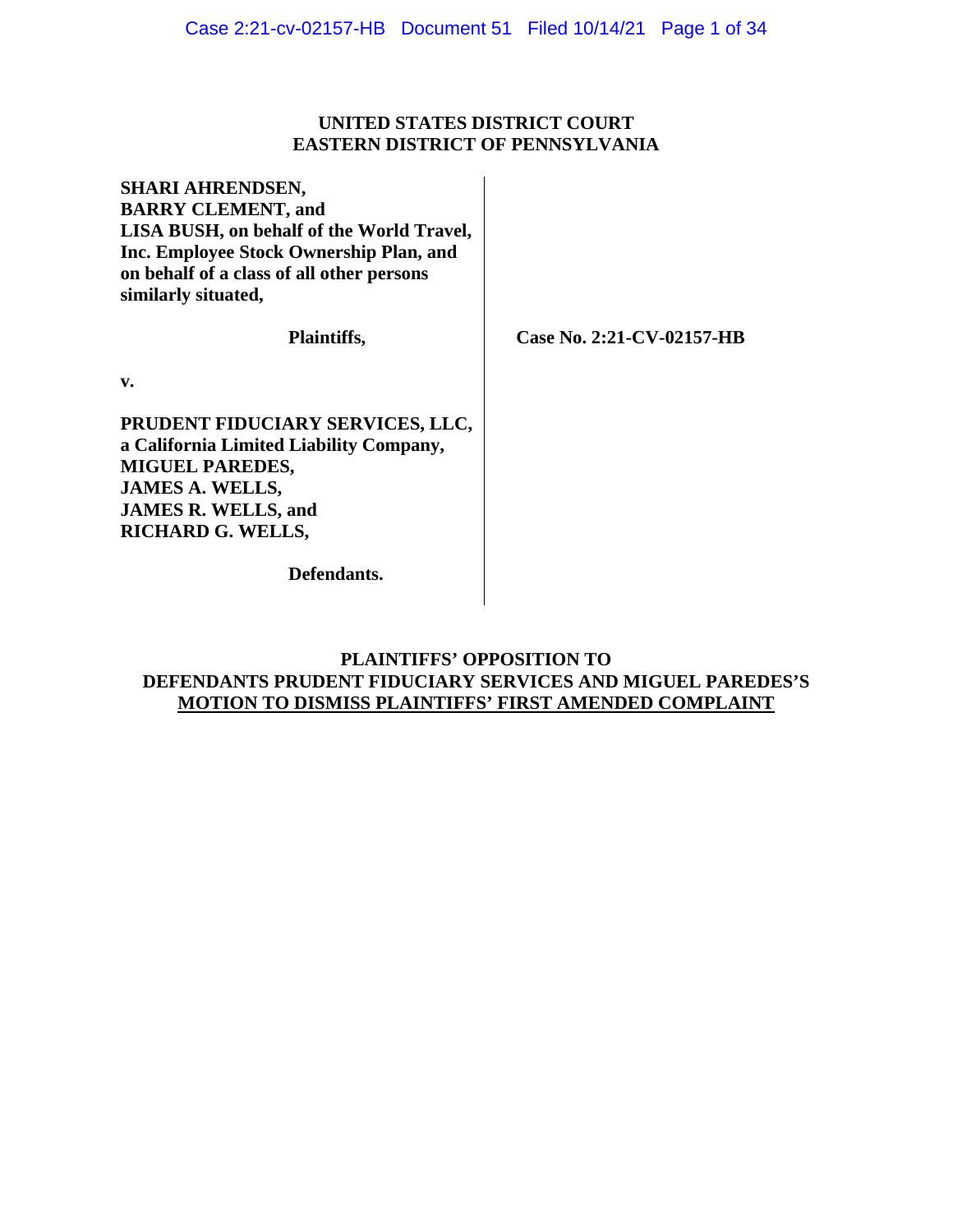# **UNITED STATES DISTRICT COURT EASTERN DISTRICT OF PENNSYLVANIA**

**SHARI AHRENDSEN, BARRY CLEMENT, and LISA BUSH, on behalf of the World Travel, Inc. Employee Stock Ownership Plan, and on behalf of a class of all other persons similarly situated,**

**Plaintiffs,**

 **Case No. 2:21-CV-02157-HB**

**v.**

**PRUDENT FIDUCIARY SERVICES, LLC, a California Limited Liability Company, MIGUEL PAREDES, JAMES A. WELLS, JAMES R. WELLS, and RICHARD G. WELLS,**

**Defendants.**

# **PLAINTIFFS' OPPOSITION TO DEFENDANTS PRUDENT FIDUCIARY SERVICES AND MIGUEL PAREDES'S MOTION TO DISMISS PLAINTIFFS' FIRST AMENDED COMPLAINT**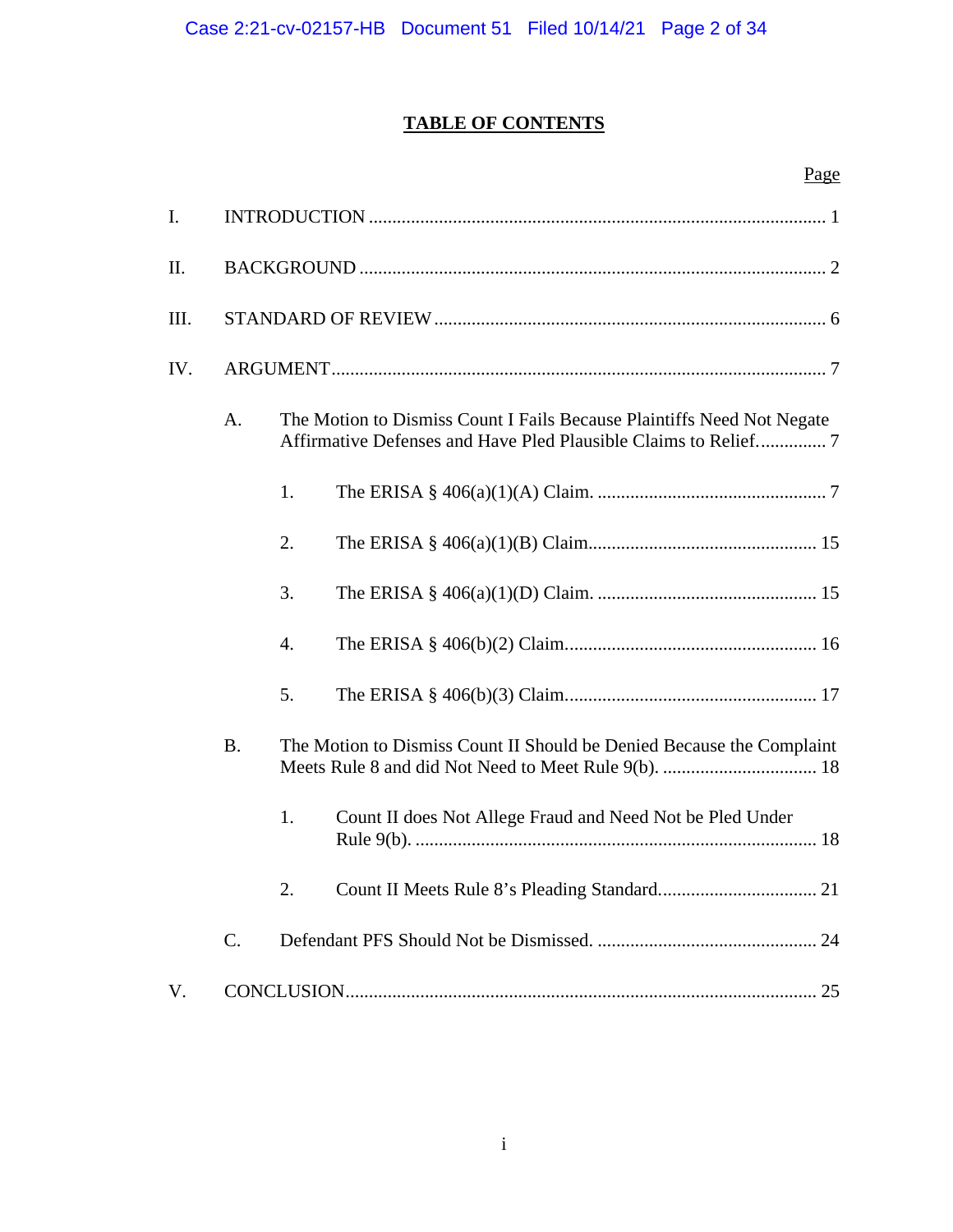# **TABLE OF CONTENTS**

# Page

| $\mathbf{I}$ . |       |                                                                                                                                           |                                                                       |  |  |  |
|----------------|-------|-------------------------------------------------------------------------------------------------------------------------------------------|-----------------------------------------------------------------------|--|--|--|
| II.            |       |                                                                                                                                           |                                                                       |  |  |  |
| III.           |       |                                                                                                                                           |                                                                       |  |  |  |
| IV.            |       |                                                                                                                                           |                                                                       |  |  |  |
|                | A.    | The Motion to Dismiss Count I Fails Because Plaintiffs Need Not Negate<br>Affirmative Defenses and Have Pled Plausible Claims to Relief 7 |                                                                       |  |  |  |
|                |       | 1.                                                                                                                                        |                                                                       |  |  |  |
|                |       | 2.                                                                                                                                        |                                                                       |  |  |  |
|                |       | 3.                                                                                                                                        |                                                                       |  |  |  |
|                |       | 4.                                                                                                                                        |                                                                       |  |  |  |
|                |       | 5.                                                                                                                                        |                                                                       |  |  |  |
|                | B.    |                                                                                                                                           | The Motion to Dismiss Count II Should be Denied Because the Complaint |  |  |  |
|                |       | 1.                                                                                                                                        | Count II does Not Allege Fraud and Need Not be Pled Under             |  |  |  |
|                |       | 2.                                                                                                                                        |                                                                       |  |  |  |
|                | $C$ . |                                                                                                                                           |                                                                       |  |  |  |
| $V_{\cdot}$    |       |                                                                                                                                           |                                                                       |  |  |  |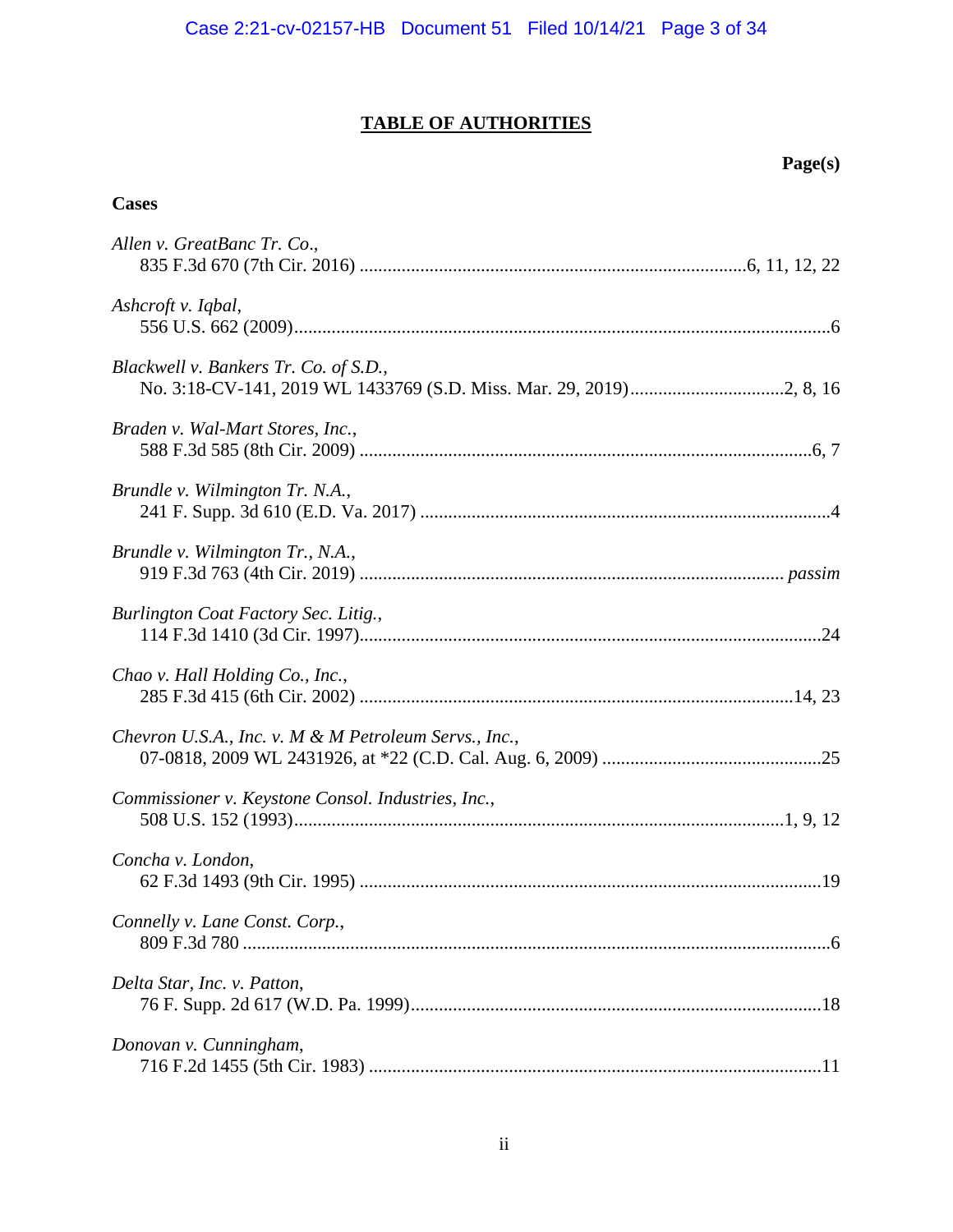# **TABLE OF AUTHORITIES**

# **Page(s)**

# **Cases**

| Allen v. GreatBanc Tr. Co.,                           |
|-------------------------------------------------------|
| Ashcroft v. Iqbal,                                    |
| Blackwell v. Bankers Tr. Co. of S.D.,                 |
| Braden v. Wal-Mart Stores, Inc.,                      |
| Brundle v. Wilmington Tr. N.A.,                       |
| Brundle v. Wilmington Tr., N.A.,                      |
| Burlington Coat Factory Sec. Litig.,                  |
| Chao v. Hall Holding Co., Inc.,                       |
| Chevron U.S.A., Inc. v. M & M Petroleum Servs., Inc., |
| Commissioner v. Keystone Consol. Industries, Inc.,    |
| Concha v. London,                                     |
| Connelly v. Lane Const. Corp.,                        |
| Delta Star, Inc. v. Patton,                           |
| Donovan v. Cunningham,                                |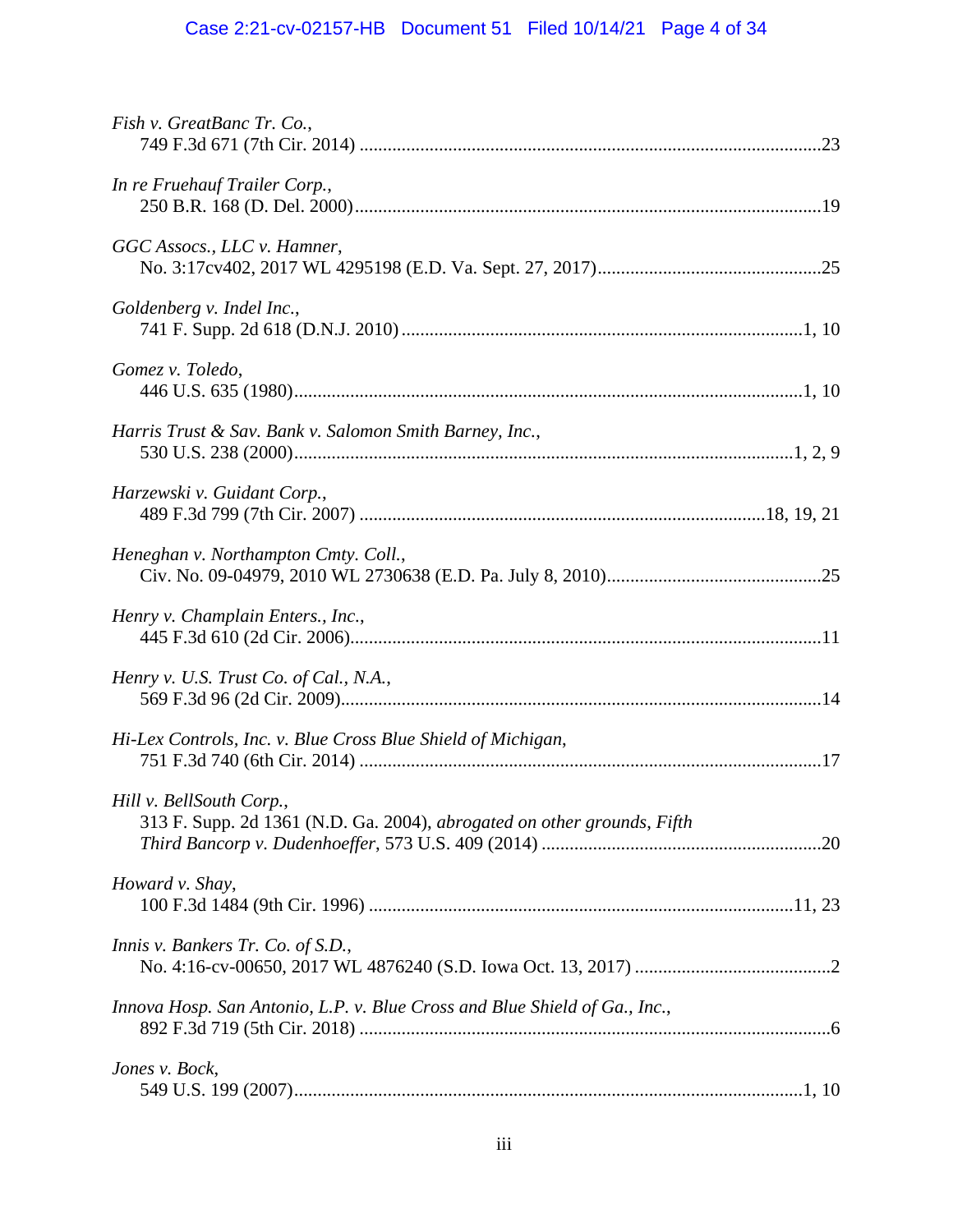# Case 2:21-cv-02157-HB Document 51 Filed 10/14/21 Page 4 of 34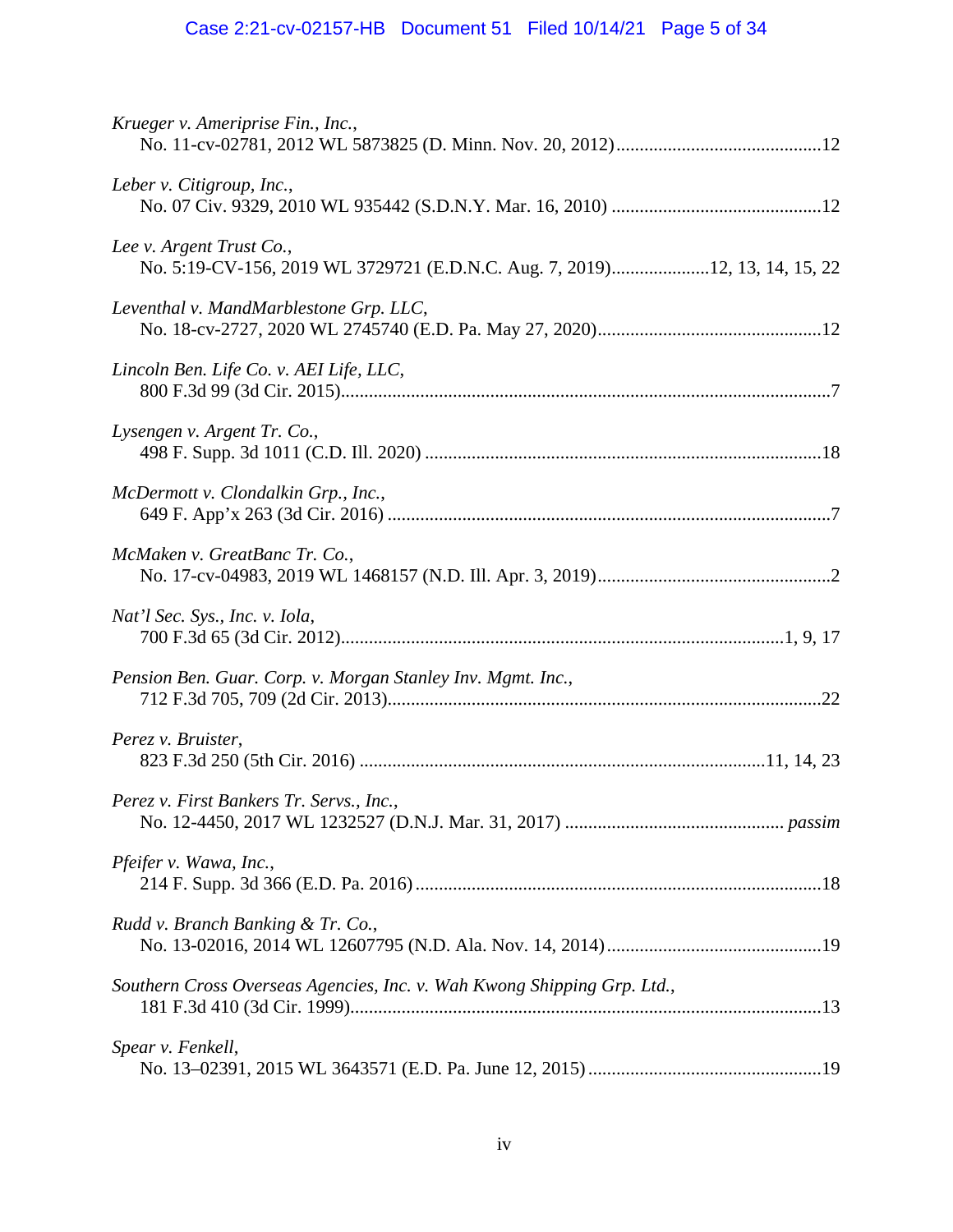# Case 2:21-cv-02157-HB Document 51 Filed 10/14/21 Page 5 of 34

| Krueger v. Ameriprise Fin., Inc.,                                                                      |  |
|--------------------------------------------------------------------------------------------------------|--|
| Leber v. Citigroup, Inc.,                                                                              |  |
| Lee v. Argent Trust Co.,<br>No. 5:19-CV-156, 2019 WL 3729721 (E.D.N.C. Aug. 7, 2019)12, 13, 14, 15, 22 |  |
| Leventhal v. MandMarblestone Grp. LLC,                                                                 |  |
| Lincoln Ben. Life Co. v. AEI Life, LLC,                                                                |  |
| Lysengen v. Argent Tr. Co.,                                                                            |  |
| McDermott v. Clondalkin Grp., Inc.,                                                                    |  |
| McMaken v. GreatBanc Tr. Co.,                                                                          |  |
| Nat'l Sec. Sys., Inc. v. Iola,                                                                         |  |
| Pension Ben. Guar. Corp. v. Morgan Stanley Inv. Mgmt. Inc.,                                            |  |
| Perez v. Bruister,                                                                                     |  |
| Perez v. First Bankers Tr. Servs., Inc.,                                                               |  |
| Pfeifer v. Wawa, Inc.,                                                                                 |  |
| Rudd v. Branch Banking & Tr. Co.,                                                                      |  |
| Southern Cross Overseas Agencies, Inc. v. Wah Kwong Shipping Grp. Ltd.,                                |  |
| Spear v. Fenkell,                                                                                      |  |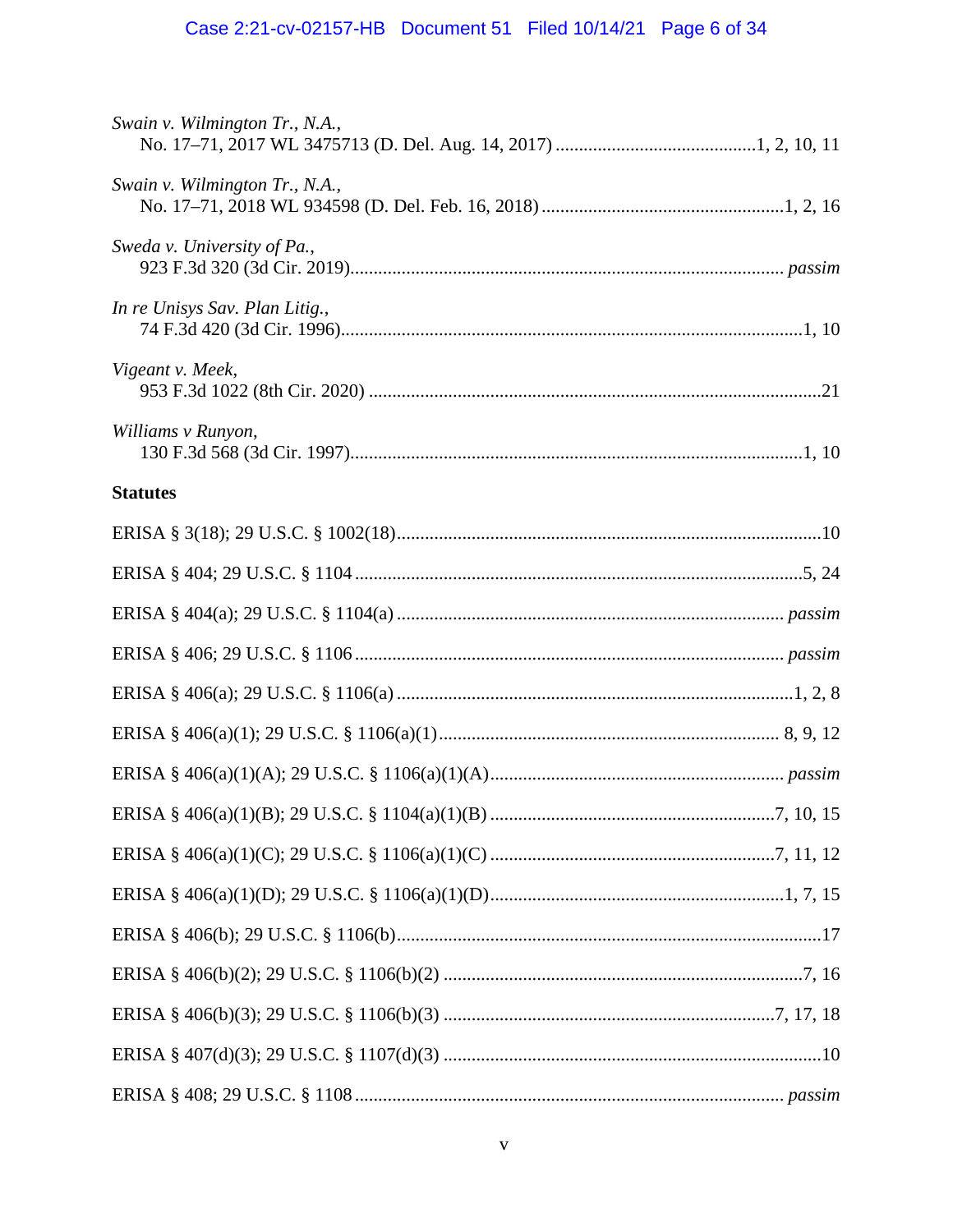# Case 2:21-cv-02157-HB Document 51 Filed 10/14/21 Page 6 of 34

| Swain v. Wilmington Tr., N.A., |  |
|--------------------------------|--|
| Swain v. Wilmington Tr., N.A., |  |
| Sweda v. University of Pa.,    |  |
| In re Unisys Sav. Plan Litig., |  |
| Vigeant v. Meek,               |  |
| Williams v Runyon,             |  |
| <b>Statutes</b>                |  |
|                                |  |
|                                |  |
|                                |  |
|                                |  |
|                                |  |
|                                |  |
|                                |  |
|                                |  |
|                                |  |
|                                |  |
|                                |  |
|                                |  |
|                                |  |
|                                |  |
|                                |  |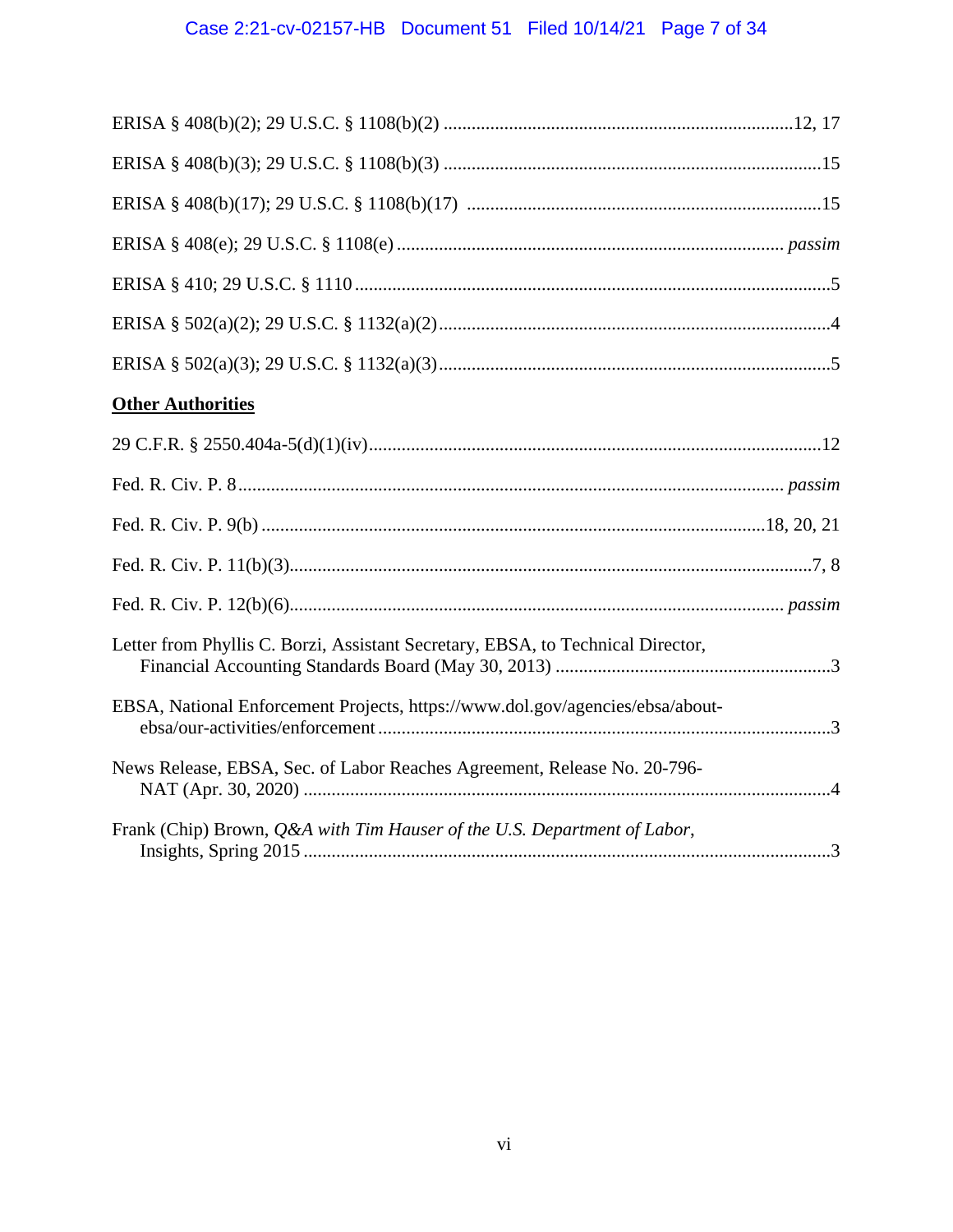# Case 2:21-cv-02157-HB Document 51 Filed 10/14/21 Page 7 of 34

| <b>Other Authorities</b> |
|--------------------------|
|                          |
|                          |
|                          |
|                          |
|                          |

| News Release, EBSA, Sec. of Labor Reaches Agreement, Release No. 20-796-             |  |
|--------------------------------------------------------------------------------------|--|
|                                                                                      |  |
| Frank (Chip) Brown, <i>Q&amp;A with Tim Hauser of the U.S. Department of Labor</i> , |  |

Letter from Phyllis C. Borzi, Assistant Secretary, EBSA, to Technical Director,

EBSA, National Enforcement Projects, https://www.dol.gov/agencies/ebsa/about-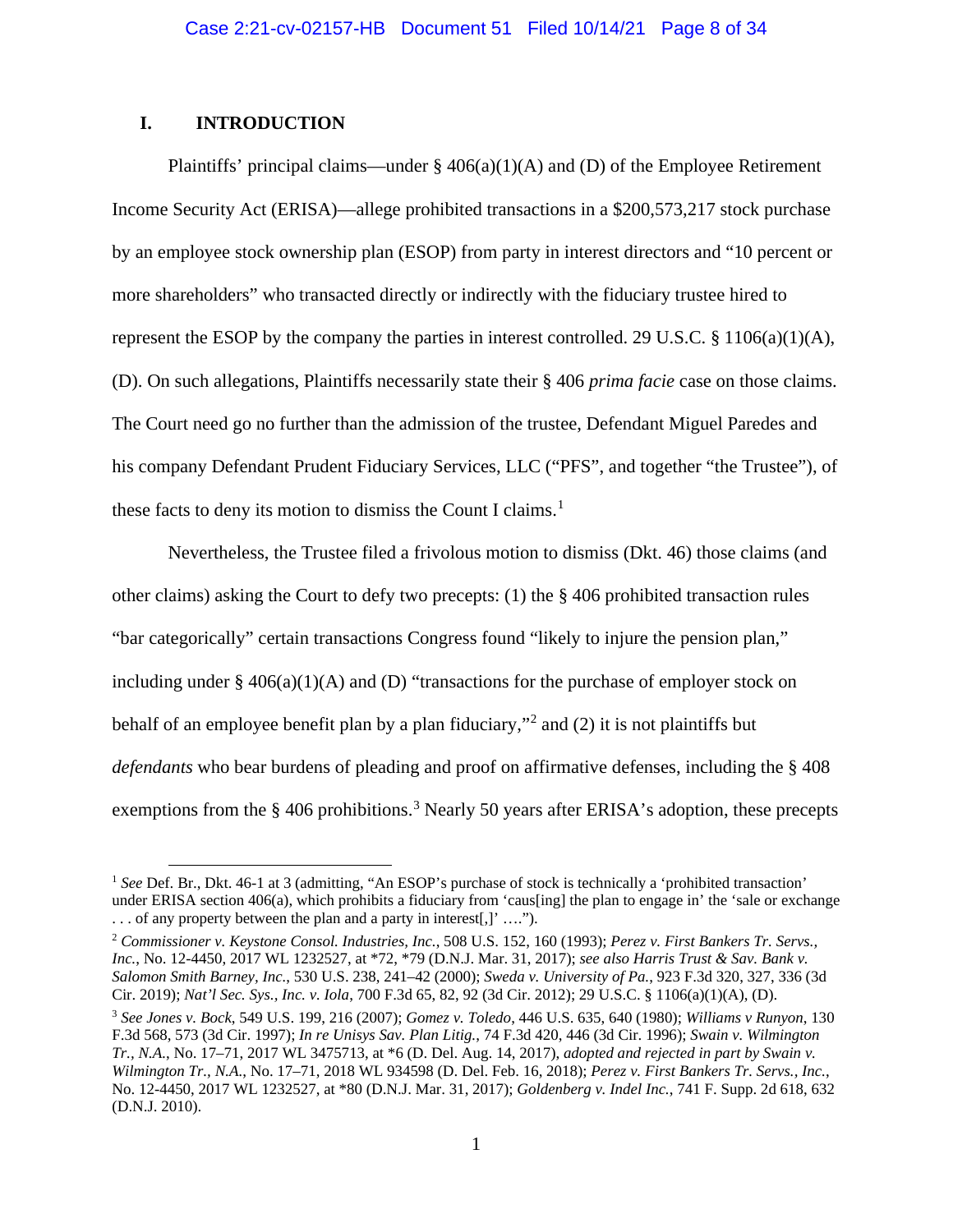# **I. INTRODUCTION**

Plaintiffs' principal claims—under  $\S$  406(a)(1)(A) and (D) of the Employee Retirement Income Security Act (ERISA)—allege prohibited transactions in a \$200,573,217 stock purchase by an employee stock ownership plan (ESOP) from party in interest directors and "10 percent or more shareholders" who transacted directly or indirectly with the fiduciary trustee hired to represent the ESOP by the company the parties in interest controlled. 29 U.S.C. § 1106(a)(1)(A), (D). On such allegations, Plaintiffs necessarily state their § 406 *prima facie* case on those claims. The Court need go no further than the admission of the trustee, Defendant Miguel Paredes and his company Defendant Prudent Fiduciary Services, LLC ("PFS", and together "the Trustee"), of these facts to deny its motion to dismiss the Count I claims.<sup>[1](#page-7-0)</sup>

Nevertheless, the Trustee filed a frivolous motion to dismiss (Dkt. 46) those claims (and other claims) asking the Court to defy two precepts: (1) the § 406 prohibited transaction rules "bar categorically" certain transactions Congress found "likely to injure the pension plan," including under  $\S$  406(a)(1)(A) and (D) "transactions for the purchase of employer stock on behalf of an employee benefit plan by a plan fiduciary,"[2](#page-7-1) and (2) it is not plaintiffs but *defendants* who bear burdens of pleading and proof on affirmative defenses, including the § 408 exemptions from the § 406 prohibitions.<sup>[3](#page-7-2)</sup> Nearly 50 years after ERISA's adoption, these precepts

<span id="page-7-0"></span><sup>&</sup>lt;sup>1</sup> See Def. Br., Dkt. 46-1 at 3 (admitting, "An ESOP's purchase of stock is technically a 'prohibited transaction' under ERISA section 406(a), which prohibits a fiduciary from 'caus[ing] the plan to engage in' the 'sale or exchange . . . of any property between the plan and a party in interest[,]' ….").

<span id="page-7-1"></span><sup>2</sup> *Commissioner v. Keystone Consol. Industries, Inc.*, 508 U.S. 152, 160 (1993); *Perez v. First Bankers Tr. Servs., Inc.*, No. 12-4450, 2017 WL 1232527, at \*72, \*79 (D.N.J. Mar. 31, 2017); *see also Harris Trust & Sav. Bank v. Salomon Smith Barney, Inc.*, 530 U.S. 238, 241–42 (2000); *Sweda v. University of Pa.*, 923 F.3d 320, 327, 336 (3d Cir. 2019); *Nat'l Sec. Sys., Inc. v. Iola*, 700 F.3d 65, 82, 92 (3d Cir. 2012); 29 U.S.C. § 1106(a)(1)(A), (D).

<span id="page-7-2"></span><sup>3</sup> *See Jones v. Bock*, 549 U.S. 199, 216 (2007); *Gomez v. Toledo*, 446 U.S. 635, 640 (1980); *Williams v Runyon*, 130 F.3d 568, 573 (3d Cir. 1997); *In re Unisys Sav. Plan Litig.*, 74 F.3d 420, 446 (3d Cir. 1996); *Swain v. Wilmington Tr., N.A.*, No. 17–71, 2017 WL 3475713, at \*6 (D. Del. Aug. 14, 2017), *adopted and rejected in part by Swain v. Wilmington Tr., N.A.*, No. 17–71, 2018 WL 934598 (D. Del. Feb. 16, 2018); *Perez v. First Bankers Tr. Servs., Inc.*, No. 12-4450, 2017 WL 1232527, at \*80 (D.N.J. Mar. 31, 2017); *Goldenberg v. Indel Inc.*, 741 F. Supp. 2d 618, 632 (D.N.J. 2010).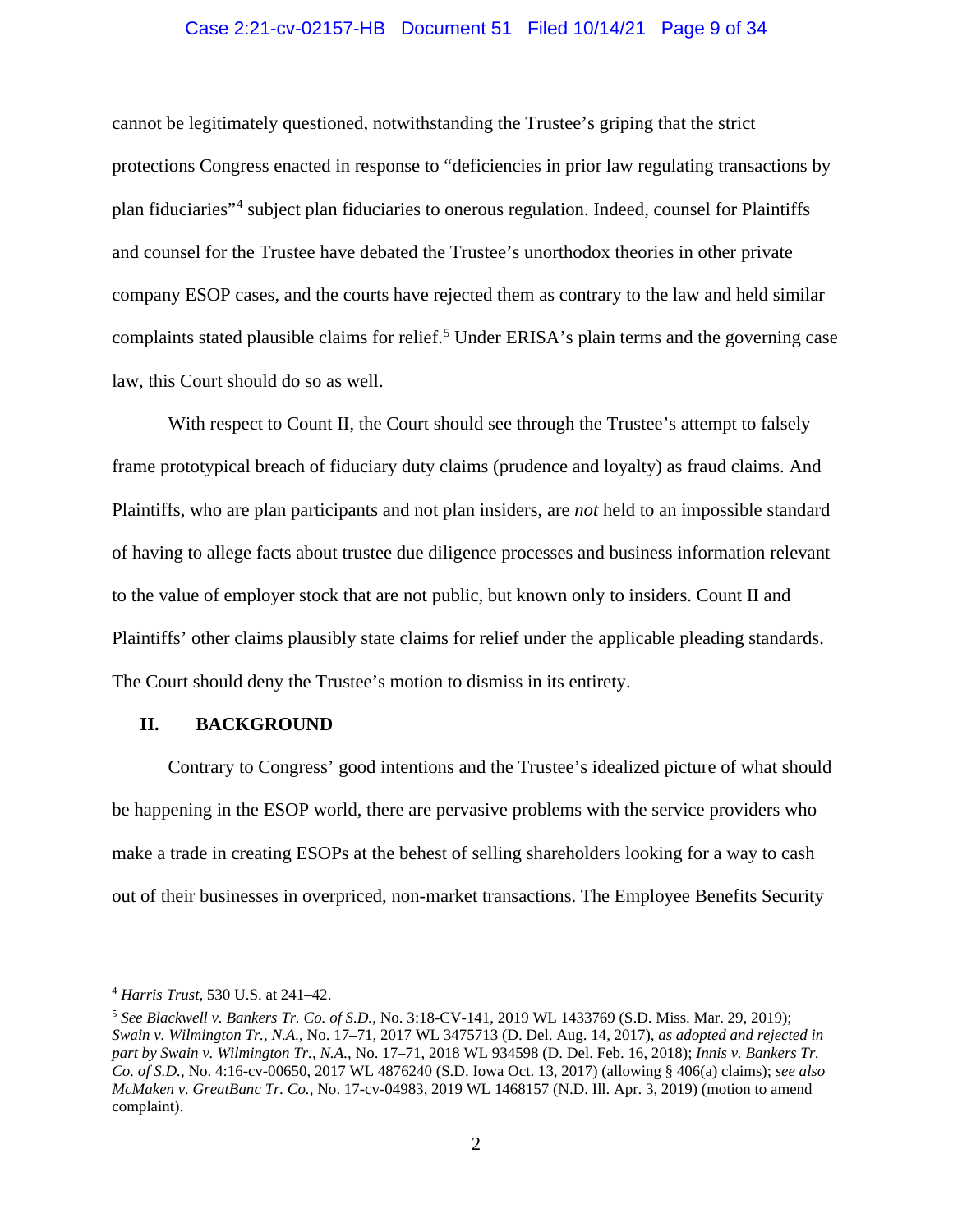# Case 2:21-cv-02157-HB Document 51 Filed 10/14/21 Page 9 of 34

cannot be legitimately questioned, notwithstanding the Trustee's griping that the strict protections Congress enacted in response to "deficiencies in prior law regulating transactions by plan fiduciaries"[4](#page-8-0) subject plan fiduciaries to onerous regulation. Indeed, counsel for Plaintiffs and counsel for the Trustee have debated the Trustee's unorthodox theories in other private company ESOP cases, and the courts have rejected them as contrary to the law and held similar complaints stated plausible claims for relief.<sup>[5](#page-8-1)</sup> Under ERISA's plain terms and the governing case law, this Court should do so as well.

With respect to Count II, the Court should see through the Trustee's attempt to falsely frame prototypical breach of fiduciary duty claims (prudence and loyalty) as fraud claims. And Plaintiffs, who are plan participants and not plan insiders, are *not* held to an impossible standard of having to allege facts about trustee due diligence processes and business information relevant to the value of employer stock that are not public, but known only to insiders. Count II and Plaintiffs' other claims plausibly state claims for relief under the applicable pleading standards. The Court should deny the Trustee's motion to dismiss in its entirety.

# **II. BACKGROUND**

Contrary to Congress' good intentions and the Trustee's idealized picture of what should be happening in the ESOP world, there are pervasive problems with the service providers who make a trade in creating ESOPs at the behest of selling shareholders looking for a way to cash out of their businesses in overpriced, non-market transactions. The Employee Benefits Security

<span id="page-8-0"></span><sup>4</sup> *Harris Trust*, 530 U.S. at 241–42.

<span id="page-8-1"></span><sup>5</sup> *See Blackwell v. Bankers Tr. Co. of S.D.*, No. 3:18-CV-141, 2019 WL 1433769 (S.D. Miss. Mar. 29, 2019); *Swain v. Wilmington Tr., N.A.*, No. 17–71, 2017 WL 3475713 (D. Del. Aug. 14, 2017), *as adopted and rejected in part by Swain v. Wilmington Tr., N.A.*, No. 17–71, 2018 WL 934598 (D. Del. Feb. 16, 2018); *Innis v. Bankers Tr. Co. of S.D.*, No. 4:16-cv-00650, 2017 WL 4876240 (S.D. Iowa Oct. 13, 2017) (allowing § 406(a) claims); *see also McMaken v. GreatBanc Tr. Co.*, No. 17-cv-04983, 2019 WL 1468157 (N.D. Ill. Apr. 3, 2019) (motion to amend complaint).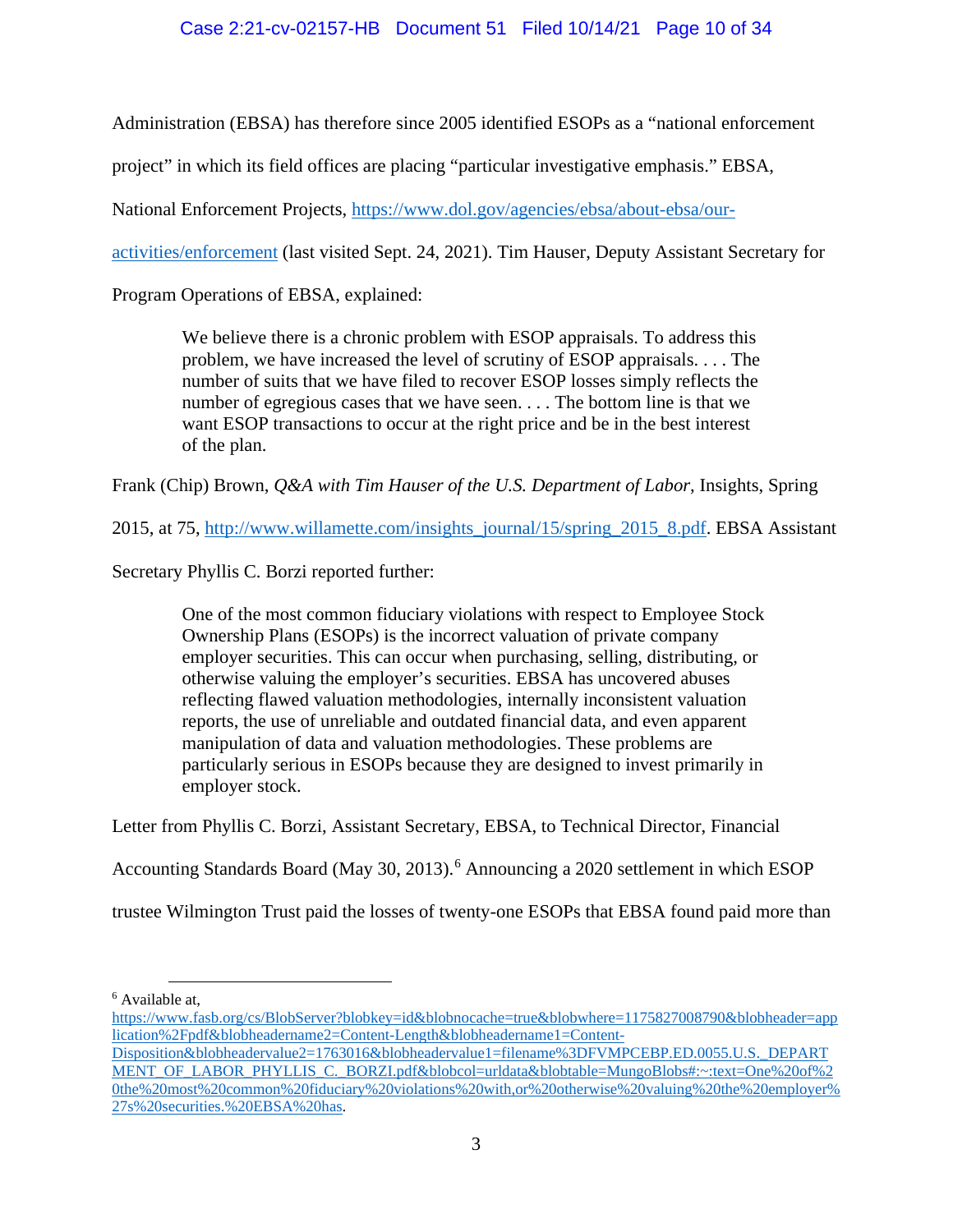# Case 2:21-cv-02157-HB Document 51 Filed 10/14/21 Page 10 of 34

Administration (EBSA) has therefore since 2005 identified ESOPs as a "national enforcement

project" in which its field offices are placing "particular investigative emphasis." EBSA,

National Enforcement Projects, [https://www.dol.gov/agencies/ebsa/about-ebsa/our-](https://www.dol.gov/agencies/ebsa/about-ebsa/our-activities/enforcement)

[activities/enforcement](https://www.dol.gov/agencies/ebsa/about-ebsa/our-activities/enforcement) (last visited Sept. 24, 2021). Tim Hauser, Deputy Assistant Secretary for

Program Operations of EBSA, explained:

We believe there is a chronic problem with ESOP appraisals. To address this problem, we have increased the level of scrutiny of ESOP appraisals. . . . The number of suits that we have filed to recover ESOP losses simply reflects the number of egregious cases that we have seen. . . . The bottom line is that we want ESOP transactions to occur at the right price and be in the best interest of the plan.

Frank (Chip) Brown, *Q&A with Tim Hauser of the U.S. Department of Labor*, Insights, Spring

2015, at 75, [http://www.willamette.com/insights\\_journal/15/spring\\_2015\\_8.pdf.](http://www.willamette.com/insights_journal/15/spring_2015_8.pdf) EBSA Assistant

Secretary Phyllis C. Borzi reported further:

One of the most common fiduciary violations with respect to Employee Stock Ownership Plans (ESOPs) is the incorrect valuation of private company employer securities. This can occur when purchasing, selling, distributing, or otherwise valuing the employer's securities. EBSA has uncovered abuses reflecting flawed valuation methodologies, internally inconsistent valuation reports, the use of unreliable and outdated financial data, and even apparent manipulation of data and valuation methodologies. These problems are particularly serious in ESOPs because they are designed to invest primarily in employer stock.

Letter from Phyllis C. Borzi, Assistant Secretary, EBSA, to Technical Director, Financial

Accounting Standards Board (May 30, 2013).<sup>[6](#page-9-0)</sup> Announcing a 2020 settlement in which ESOP

trustee Wilmington Trust paid the losses of twenty-one ESOPs that EBSA found paid more than

<span id="page-9-0"></span><sup>6</sup> Available at,

[https://www.fasb.org/cs/BlobServer?blobkey=id&blobnocache=true&blobwhere=1175827008790&blobheader=app](https://www.fasb.org/cs/BlobServer?blobkey=id&blobnocache=true&blobwhere=1175827008790&blobheader=application%2Fpdf&blobheadername2=Content-Length&blobheadername1=Content-Disposition&blobheadervalue2=1763016&blobheadervalue1=filename%3DFVMPCEBP.ED.0055.U.S._DEPARTMENT_OF_LABOR_PHYLLIS_C._BORZI.pdf&blobcol=urldata&blobtable=MungoBlobs#:%7E:text=One%20of%20the%20most%20common%20fiduciary%20violations%20with,or%20otherwise%20valuing%20the%20employer%27s%20securities.%20EBSA%20has) [lication%2Fpdf&blobheadername2=Content-Length&blobheadername1=Content-](https://www.fasb.org/cs/BlobServer?blobkey=id&blobnocache=true&blobwhere=1175827008790&blobheader=application%2Fpdf&blobheadername2=Content-Length&blobheadername1=Content-Disposition&blobheadervalue2=1763016&blobheadervalue1=filename%3DFVMPCEBP.ED.0055.U.S._DEPARTMENT_OF_LABOR_PHYLLIS_C._BORZI.pdf&blobcol=urldata&blobtable=MungoBlobs#:%7E:text=One%20of%20the%20most%20common%20fiduciary%20violations%20with,or%20otherwise%20valuing%20the%20employer%27s%20securities.%20EBSA%20has)

[Disposition&blobheadervalue2=1763016&blobheadervalue1=filename%3DFVMPCEBP.ED.0055.U.S.\\_DEPART](https://www.fasb.org/cs/BlobServer?blobkey=id&blobnocache=true&blobwhere=1175827008790&blobheader=application%2Fpdf&blobheadername2=Content-Length&blobheadername1=Content-Disposition&blobheadervalue2=1763016&blobheadervalue1=filename%3DFVMPCEBP.ED.0055.U.S._DEPARTMENT_OF_LABOR_PHYLLIS_C._BORZI.pdf&blobcol=urldata&blobtable=MungoBlobs#:%7E:text=One%20of%20the%20most%20common%20fiduciary%20violations%20with,or%20otherwise%20valuing%20the%20employer%27s%20securities.%20EBSA%20has) [MENT\\_OF\\_LABOR\\_PHYLLIS\\_C.\\_BORZI.pdf&blobcol=urldata&blobtable=MungoBlobs#:~:text=One%20of%2](https://www.fasb.org/cs/BlobServer?blobkey=id&blobnocache=true&blobwhere=1175827008790&blobheader=application%2Fpdf&blobheadername2=Content-Length&blobheadername1=Content-Disposition&blobheadervalue2=1763016&blobheadervalue1=filename%3DFVMPCEBP.ED.0055.U.S._DEPARTMENT_OF_LABOR_PHYLLIS_C._BORZI.pdf&blobcol=urldata&blobtable=MungoBlobs#:%7E:text=One%20of%20the%20most%20common%20fiduciary%20violations%20with,or%20otherwise%20valuing%20the%20employer%27s%20securities.%20EBSA%20has) [0the%20most%20common%20fiduciary%20violations%20with,or%20otherwise%20valuing%20the%20employer%](https://www.fasb.org/cs/BlobServer?blobkey=id&blobnocache=true&blobwhere=1175827008790&blobheader=application%2Fpdf&blobheadername2=Content-Length&blobheadername1=Content-Disposition&blobheadervalue2=1763016&blobheadervalue1=filename%3DFVMPCEBP.ED.0055.U.S._DEPARTMENT_OF_LABOR_PHYLLIS_C._BORZI.pdf&blobcol=urldata&blobtable=MungoBlobs#:%7E:text=One%20of%20the%20most%20common%20fiduciary%20violations%20with,or%20otherwise%20valuing%20the%20employer%27s%20securities.%20EBSA%20has) [27s%20securities.%20EBSA%20has.](https://www.fasb.org/cs/BlobServer?blobkey=id&blobnocache=true&blobwhere=1175827008790&blobheader=application%2Fpdf&blobheadername2=Content-Length&blobheadername1=Content-Disposition&blobheadervalue2=1763016&blobheadervalue1=filename%3DFVMPCEBP.ED.0055.U.S._DEPARTMENT_OF_LABOR_PHYLLIS_C._BORZI.pdf&blobcol=urldata&blobtable=MungoBlobs#:%7E:text=One%20of%20the%20most%20common%20fiduciary%20violations%20with,or%20otherwise%20valuing%20the%20employer%27s%20securities.%20EBSA%20has)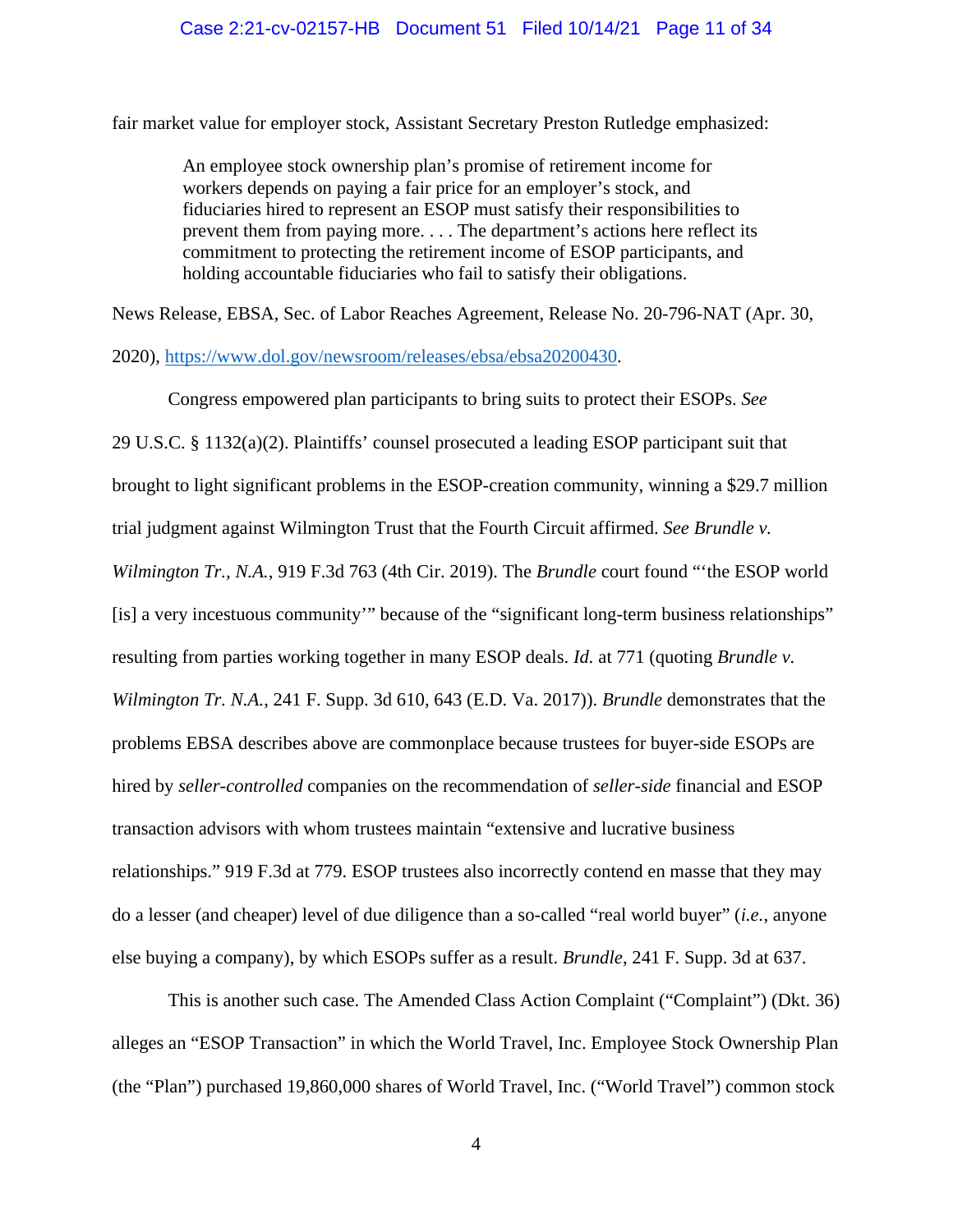fair market value for employer stock, Assistant Secretary Preston Rutledge emphasized:

An employee stock ownership plan's promise of retirement income for workers depends on paying a fair price for an employer's stock, and fiduciaries hired to represent an ESOP must satisfy their responsibilities to prevent them from paying more. . . . The department's actions here reflect its commitment to protecting the retirement income of ESOP participants, and holding accountable fiduciaries who fail to satisfy their obligations.

News Release, EBSA, Sec. of Labor Reaches Agreement, Release No. 20-796-NAT (Apr. 30,

2020), [https://www.dol.gov/newsroom/releases/ebsa/ebsa20200430.](https://www.dol.gov/newsroom/releases/ebsa/ebsa20200430)

Congress empowered plan participants to bring suits to protect their ESOPs. *See* 29 U.S.C. § 1132(a)(2). Plaintiffs' counsel prosecuted a leading ESOP participant suit that brought to light significant problems in the ESOP-creation community, winning a \$29.7 million trial judgment against Wilmington Trust that the Fourth Circuit affirmed. *See Brundle v. Wilmington Tr., N.A.*, 919 F.3d 763 (4th Cir. 2019). The *Brundle* court found "'the ESOP world [is] a very incestuous community'" because of the "significant long-term business relationships" resulting from parties working together in many ESOP deals. *Id.* at 771 (quoting *Brundle v. Wilmington Tr. N.A.*, 241 F. Supp. 3d 610, 643 (E.D. Va. 2017)). *Brundle* demonstrates that the problems EBSA describes above are commonplace because trustees for buyer-side ESOPs are hired by *seller-controlled* companies on the recommendation of *seller-side* financial and ESOP transaction advisors with whom trustees maintain "extensive and lucrative business relationships." 919 F.3d at 779. ESOP trustees also incorrectly contend en masse that they may do a lesser (and cheaper) level of due diligence than a so-called "real world buyer" (*i.e.*, anyone else buying a company), by which ESOPs suffer as a result. *Brundle*, 241 F. Supp. 3d at 637.

This is another such case. The Amended Class Action Complaint ("Complaint") (Dkt. 36) alleges an "ESOP Transaction" in which the World Travel, Inc. Employee Stock Ownership Plan (the "Plan") purchased 19,860,000 shares of World Travel, Inc. ("World Travel") common stock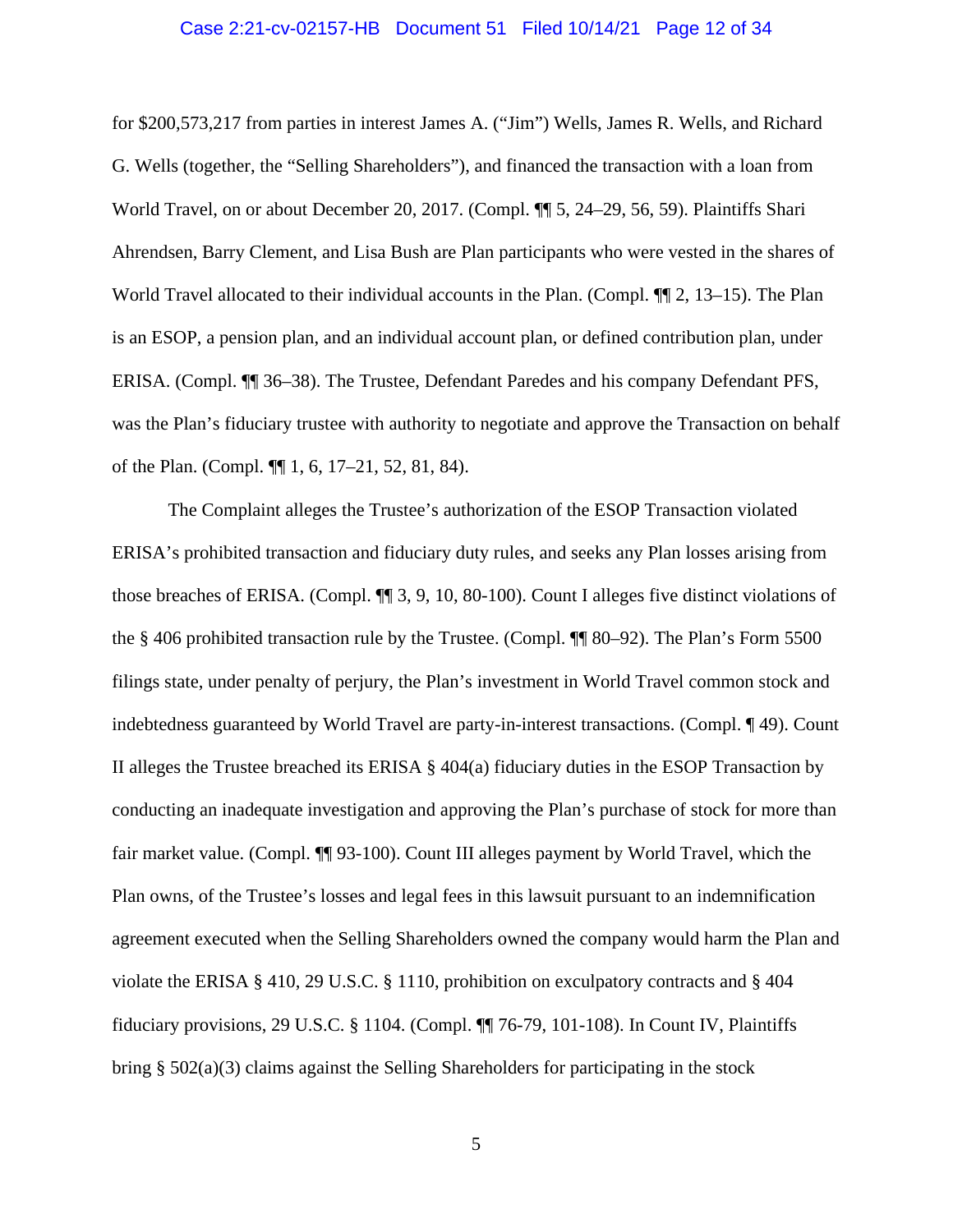# Case 2:21-cv-02157-HB Document 51 Filed 10/14/21 Page 12 of 34

for \$200,573,217 from parties in interest James A. ("Jim") Wells, James R. Wells, and Richard G. Wells (together, the "Selling Shareholders"), and financed the transaction with a loan from World Travel, on or about December 20, 2017. (Compl.  $\P$  5, 24–29, 56, 59). Plaintiffs Shari Ahrendsen, Barry Clement, and Lisa Bush are Plan participants who were vested in the shares of World Travel allocated to their individual accounts in the Plan. (Compl.  $\P$  2, 13–15). The Plan is an ESOP, a pension plan, and an individual account plan, or defined contribution plan, under ERISA. (Compl. ¶¶ 36–38). The Trustee, Defendant Paredes and his company Defendant PFS, was the Plan's fiduciary trustee with authority to negotiate and approve the Transaction on behalf of the Plan. (Compl. ¶¶ 1, 6, 17–21, 52, 81, 84).

The Complaint alleges the Trustee's authorization of the ESOP Transaction violated ERISA's prohibited transaction and fiduciary duty rules, and seeks any Plan losses arising from those breaches of ERISA. (Compl. ¶¶ 3, 9, 10, 80-100). Count I alleges five distinct violations of the § 406 prohibited transaction rule by the Trustee. (Compl. ¶¶ 80–92). The Plan's Form 5500 filings state, under penalty of perjury, the Plan's investment in World Travel common stock and indebtedness guaranteed by World Travel are party-in-interest transactions. (Compl. ¶ 49). Count II alleges the Trustee breached its ERISA  $\S 404(a)$  fiduciary duties in the ESOP Transaction by conducting an inadequate investigation and approving the Plan's purchase of stock for more than fair market value. (Compl. ¶¶ 93-100). Count III alleges payment by World Travel, which the Plan owns, of the Trustee's losses and legal fees in this lawsuit pursuant to an indemnification agreement executed when the Selling Shareholders owned the company would harm the Plan and violate the ERISA § 410, 29 U.S.C. § 1110, prohibition on exculpatory contracts and § 404 fiduciary provisions, 29 U.S.C. § 1104. (Compl. ¶¶ 76-79, 101-108). In Count IV, Plaintiffs bring  $\S$  502(a)(3) claims against the Selling Shareholders for participating in the stock

5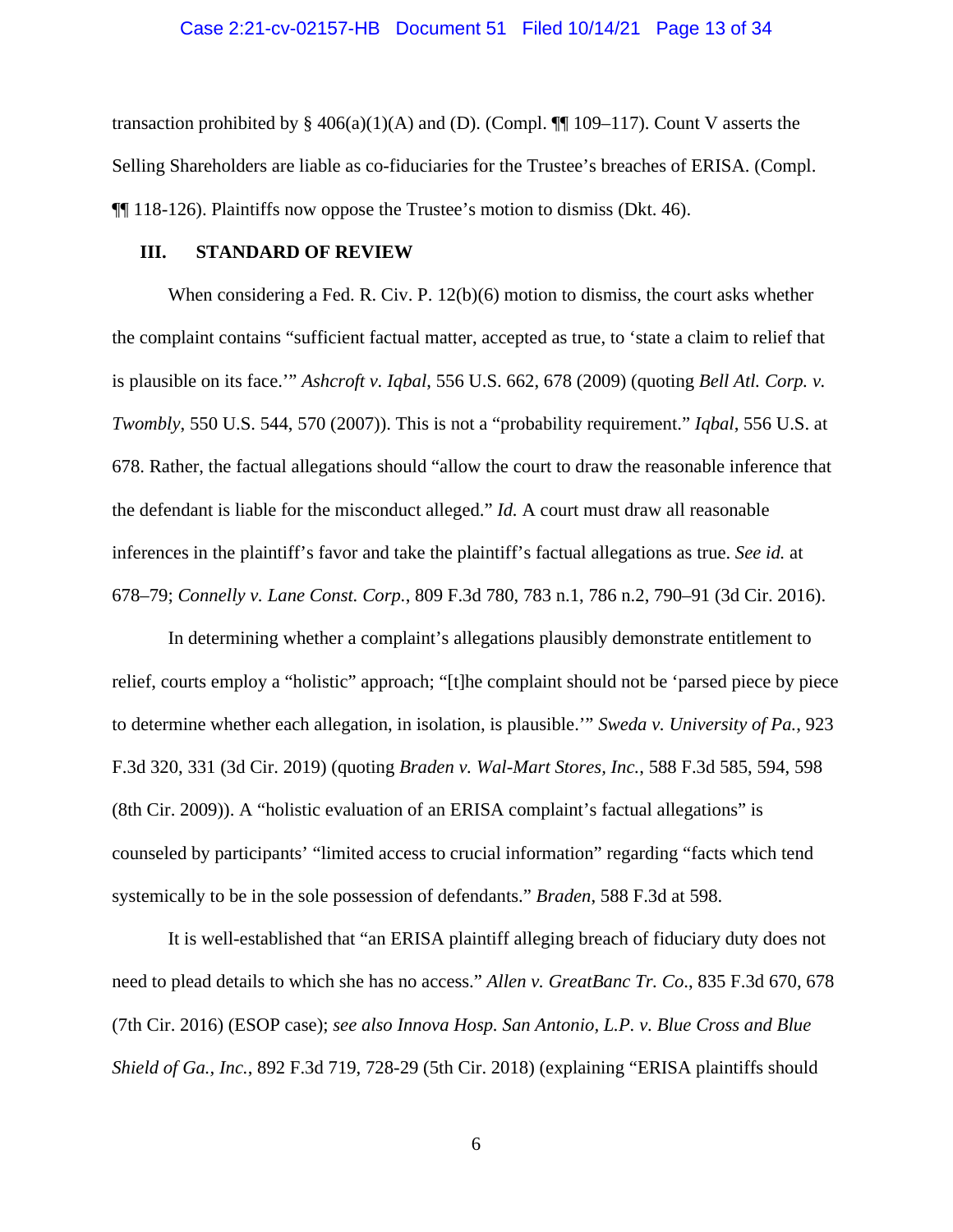transaction prohibited by § 406(a)(1)(A) and (D). (Compl.  $\P$ [109–117). Count V asserts the Selling Shareholders are liable as co-fiduciaries for the Trustee's breaches of ERISA. (Compl. ¶¶ 118-126). Plaintiffs now oppose the Trustee's motion to dismiss (Dkt. 46).

# **III. STANDARD OF REVIEW**

When considering a Fed. R. Civ. P. 12(b)(6) motion to dismiss, the court asks whether the complaint contains "sufficient factual matter, accepted as true, to 'state a claim to relief that is plausible on its face.'" *Ashcroft v. Iqbal*, 556 U.S. 662, 678 (2009) (quoting *Bell Atl. Corp. v. Twombly*, 550 U.S. 544, 570 (2007)). This is not a "probability requirement." *Iqbal*, 556 U.S. at 678. Rather, the factual allegations should "allow the court to draw the reasonable inference that the defendant is liable for the misconduct alleged." *Id.* A court must draw all reasonable inferences in the plaintiff's favor and take the plaintiff's factual allegations as true. *See id.* at 678–79; *Connelly v. Lane Const. Corp.*, 809 F.3d 780, 783 n.1, 786 n.2, 790–91 (3d Cir. 2016).

In determining whether a complaint's allegations plausibly demonstrate entitlement to relief, courts employ a "holistic" approach; "[t]he complaint should not be 'parsed piece by piece to determine whether each allegation, in isolation, is plausible.'" *Sweda v. University of Pa.*, 923 F.3d 320, 331 (3d Cir. 2019) (quoting *Braden v. Wal-Mart Stores, Inc.*, 588 F.3d 585, 594, 598 (8th Cir. 2009)). A "holistic evaluation of an ERISA complaint's factual allegations" is counseled by participants' "limited access to crucial information" regarding "facts which tend systemically to be in the sole possession of defendants." *Braden*, 588 F.3d at 598.

It is well-established that "an ERISA plaintiff alleging breach of fiduciary duty does not need to plead details to which she has no access." *Allen v. GreatBanc Tr. Co*., 835 F.3d 670, 678 (7th Cir. 2016) (ESOP case); *see also Innova Hosp. San Antonio, L.P. v. Blue Cross and Blue Shield of Ga., Inc.*, 892 F.3d 719, 728-29 (5th Cir. 2018) (explaining "ERISA plaintiffs should

6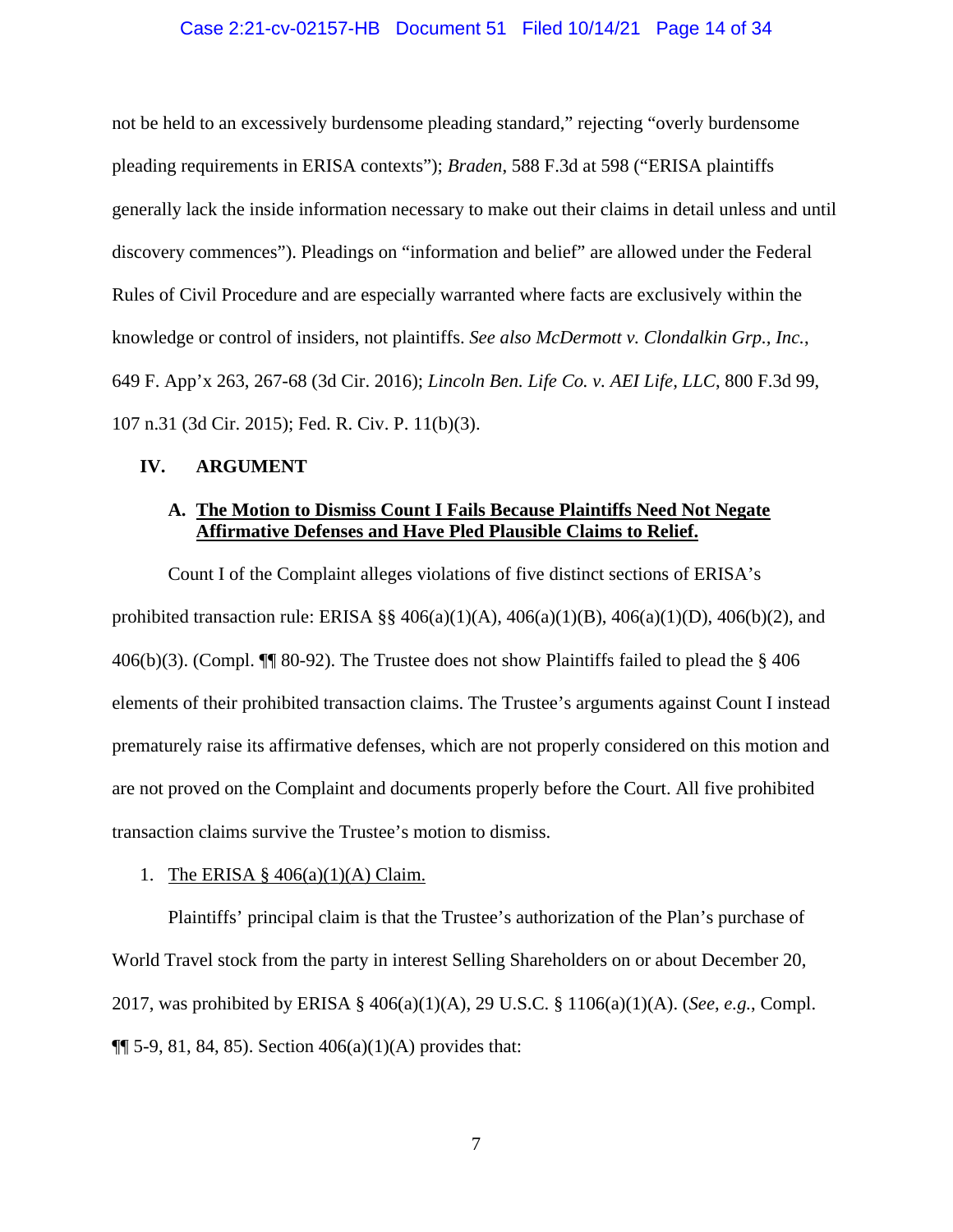# Case 2:21-cv-02157-HB Document 51 Filed 10/14/21 Page 14 of 34

not be held to an excessively burdensome pleading standard," rejecting "overly burdensome pleading requirements in ERISA contexts"); *Braden*, 588 F.3d at 598 ("ERISA plaintiffs generally lack the inside information necessary to make out their claims in detail unless and until discovery commences"). Pleadings on "information and belief" are allowed under the Federal Rules of Civil Procedure and are especially warranted where facts are exclusively within the knowledge or control of insiders, not plaintiffs. *See also McDermott v. Clondalkin Grp., Inc.*, 649 F. App'x 263, 267-68 (3d Cir. 2016); *Lincoln Ben. Life Co. v. AEI Life, LLC*, 800 F.3d 99, 107 n.31 (3d Cir. 2015); Fed. R. Civ. P. 11(b)(3).

# **IV. ARGUMENT**

# **A. The Motion to Dismiss Count I Fails Because Plaintiffs Need Not Negate Affirmative Defenses and Have Pled Plausible Claims to Relief.**

Count I of the Complaint alleges violations of five distinct sections of ERISA's prohibited transaction rule: ERISA §§ 406(a)(1)(A), 406(a)(1)(B), 406(a)(1)(D), 406(b)(2), and 406(b)(3). (Compl. ¶¶ 80-92). The Trustee does not show Plaintiffs failed to plead the § 406 elements of their prohibited transaction claims. The Trustee's arguments against Count I instead prematurely raise its affirmative defenses, which are not properly considered on this motion and are not proved on the Complaint and documents properly before the Court. All five prohibited transaction claims survive the Trustee's motion to dismiss.

# 1. The ERISA § 406(a)(1)(A) Claim.

Plaintiffs' principal claim is that the Trustee's authorization of the Plan's purchase of World Travel stock from the party in interest Selling Shareholders on or about December 20, 2017, was prohibited by ERISA § 406(a)(1)(A), 29 U.S.C. § 1106(a)(1)(A). (*See*, *e.g.*, Compl.  $\P$ [ 5-9, 81, 84, 85). Section  $406(a)(1)(A)$  provides that: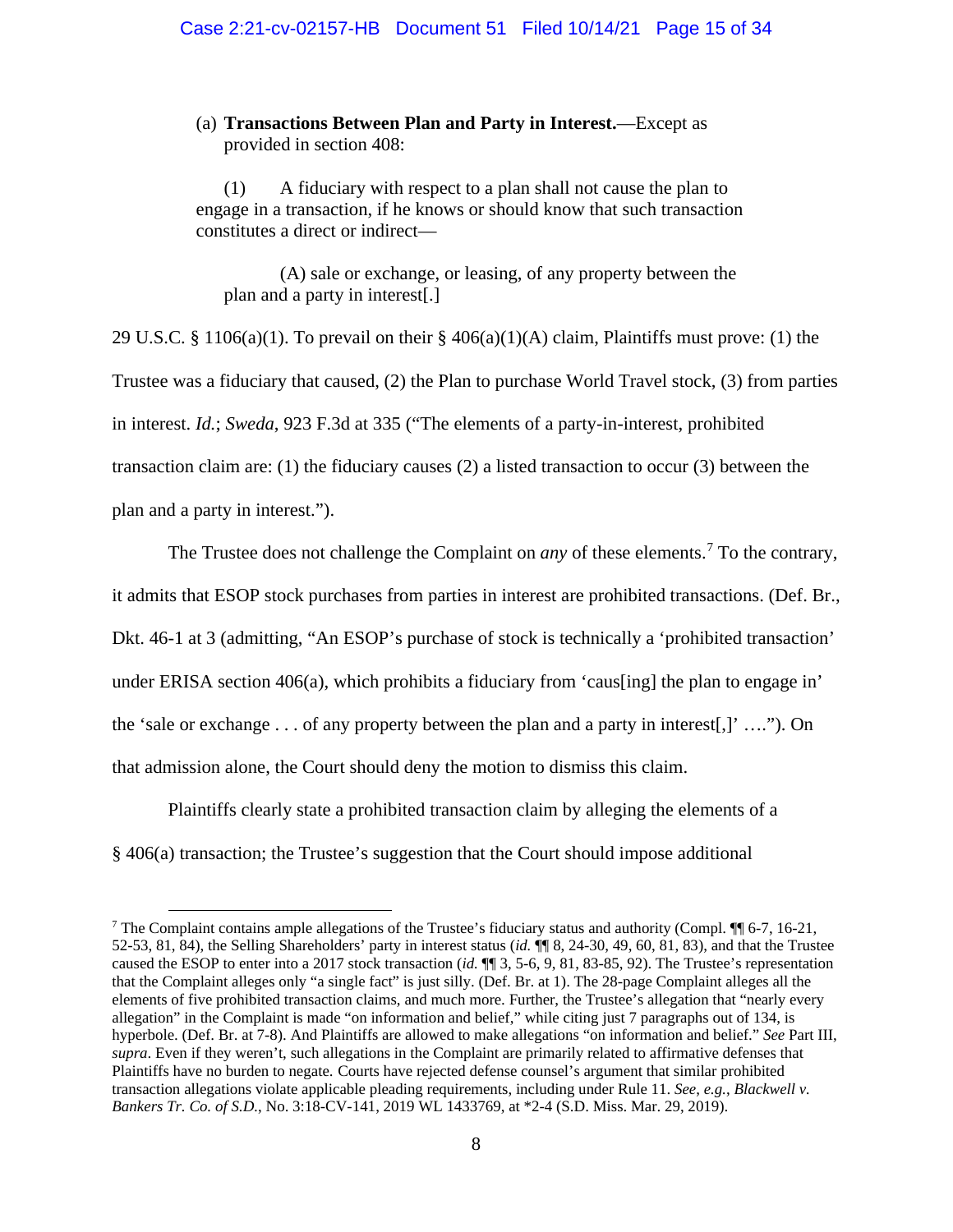(a) **Transactions Between Plan and Party in Interest.**—Except as provided in section 408:

(1) A fiduciary with respect to a plan shall not cause the plan to engage in a transaction, if he knows or should know that such transaction constitutes a direct or indirect—

(A) sale or exchange, or leasing, of any property between the plan and a party in interest[.]

29 U.S.C. § 1106(a)(1). To prevail on their §  $406(a)(1)(A)$  claim, Plaintiffs must prove: (1) the Trustee was a fiduciary that caused, (2) the Plan to purchase World Travel stock, (3) from parties in interest. *Id.*; *Sweda*, 923 F.3d at 335 ("The elements of a party-in-interest, prohibited transaction claim are: (1) the fiduciary causes (2) a listed transaction to occur (3) between the plan and a party in interest.").

The Trustee does not challenge the Complaint on *any* of these elements.<sup>[7](#page-14-0)</sup> To the contrary, it admits that ESOP stock purchases from parties in interest are prohibited transactions. (Def. Br., Dkt. 46-1 at 3 (admitting, "An ESOP's purchase of stock is technically a 'prohibited transaction' under ERISA section 406(a), which prohibits a fiduciary from 'caus[ing] the plan to engage in' the 'sale or exchange . . . of any property between the plan and a party in interest[,]' …."). On that admission alone, the Court should deny the motion to dismiss this claim.

Plaintiffs clearly state a prohibited transaction claim by alleging the elements of a § 406(a) transaction; the Trustee's suggestion that the Court should impose additional

<span id="page-14-0"></span><sup>&</sup>lt;sup>7</sup> The Complaint contains ample allegations of the Trustee's fiduciary status and authority (Compl.  $\P$  6-7, 16-21, 52-53, 81, 84), the Selling Shareholders' party in interest status (*id.* ¶¶ 8, 24-30, 49, 60, 81, 83), and that the Trustee caused the ESOP to enter into a 2017 stock transaction (*id.* ¶¶ 3, 5-6, 9, 81, 83-85, 92). The Trustee's representation that the Complaint alleges only "a single fact" is just silly. (Def. Br. at 1). The 28-page Complaint alleges all the elements of five prohibited transaction claims, and much more. Further, the Trustee's allegation that "nearly every allegation" in the Complaint is made "on information and belief," while citing just 7 paragraphs out of 134, is hyperbole. (Def. Br. at 7-8). And Plaintiffs are allowed to make allegations "on information and belief." *See* Part III, *supra*. Even if they weren't, such allegations in the Complaint are primarily related to affirmative defenses that Plaintiffs have no burden to negate. Courts have rejected defense counsel's argument that similar prohibited transaction allegations violate applicable pleading requirements, including under Rule 11. *See*, *e.g.*, *Blackwell v. Bankers Tr. Co. of S.D.*, No. 3:18-CV-141, 2019 WL 1433769, at \*2-4 (S.D. Miss. Mar. 29, 2019).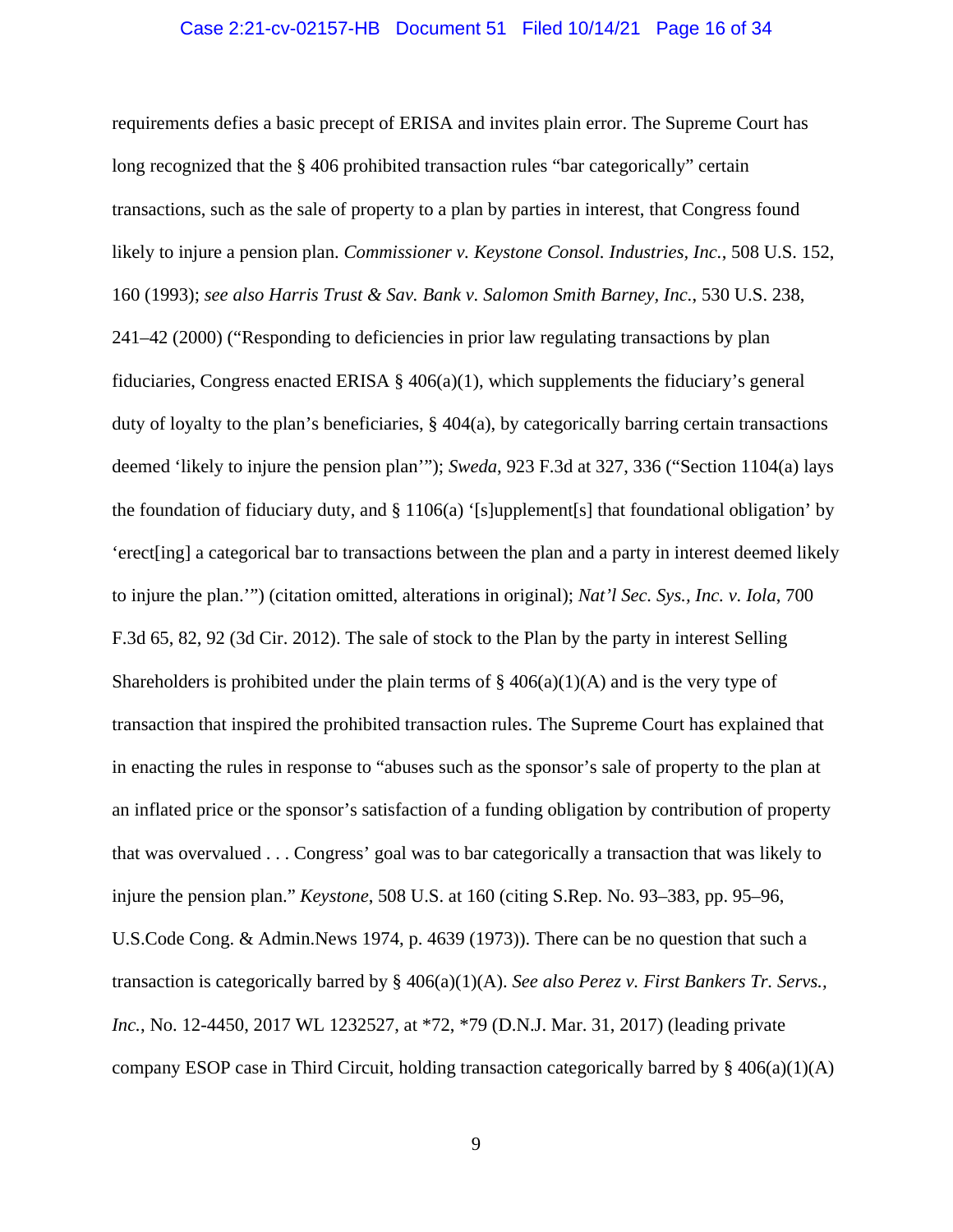# Case 2:21-cv-02157-HB Document 51 Filed 10/14/21 Page 16 of 34

requirements defies a basic precept of ERISA and invites plain error. The Supreme Court has long recognized that the § 406 prohibited transaction rules "bar categorically" certain transactions, such as the sale of property to a plan by parties in interest, that Congress found likely to injure a pension plan. *Commissioner v. Keystone Consol. Industries, Inc.*, 508 U.S. 152, 160 (1993); *see also Harris Trust & Sav. Bank v. Salomon Smith Barney, Inc.*, 530 U.S. 238, 241–42 (2000) ("Responding to deficiencies in prior law regulating transactions by plan fiduciaries, Congress enacted ERISA  $\S$  406(a)(1), which supplements the fiduciary's general duty of loyalty to the plan's beneficiaries, § 404(a), by categorically barring certain transactions deemed 'likely to injure the pension plan'"); *Sweda*, 923 F.3d at 327, 336 ("Section 1104(a) lays the foundation of fiduciary duty, and § 1106(a) '[s]upplement[s] that foundational obligation' by 'erect[ing] a categorical bar to transactions between the plan and a party in interest deemed likely to injure the plan.'") (citation omitted, alterations in original); *Nat'l Sec. Sys., Inc. v. Iola*, 700 F.3d 65, 82, 92 (3d Cir. 2012). The sale of stock to the Plan by the party in interest Selling Shareholders is prohibited under the plain terms of  $\S 406(a)(1)(A)$  and is the very type of transaction that inspired the prohibited transaction rules. The Supreme Court has explained that in enacting the rules in response to "abuses such as the sponsor's sale of property to the plan at an inflated price or the sponsor's satisfaction of a funding obligation by contribution of property that was overvalued . . . Congress' goal was to bar categorically a transaction that was likely to injure the pension plan." *Keystone*, 508 U.S. at 160 (citing S.Rep. No. 93–383, pp. 95–96, U.S.Code Cong. & Admin.News 1974, p. 4639 (1973)). There can be no question that such a transaction is categorically barred by § 406(a)(1)(A). *See also Perez v. First Bankers Tr. Servs., Inc.*, No. 12-4450, 2017 WL 1232527, at \*72, \*79 (D.N.J. Mar. 31, 2017) (leading private company ESOP case in Third Circuit, holding transaction categorically barred by  $\S 406(a)(1)(A)$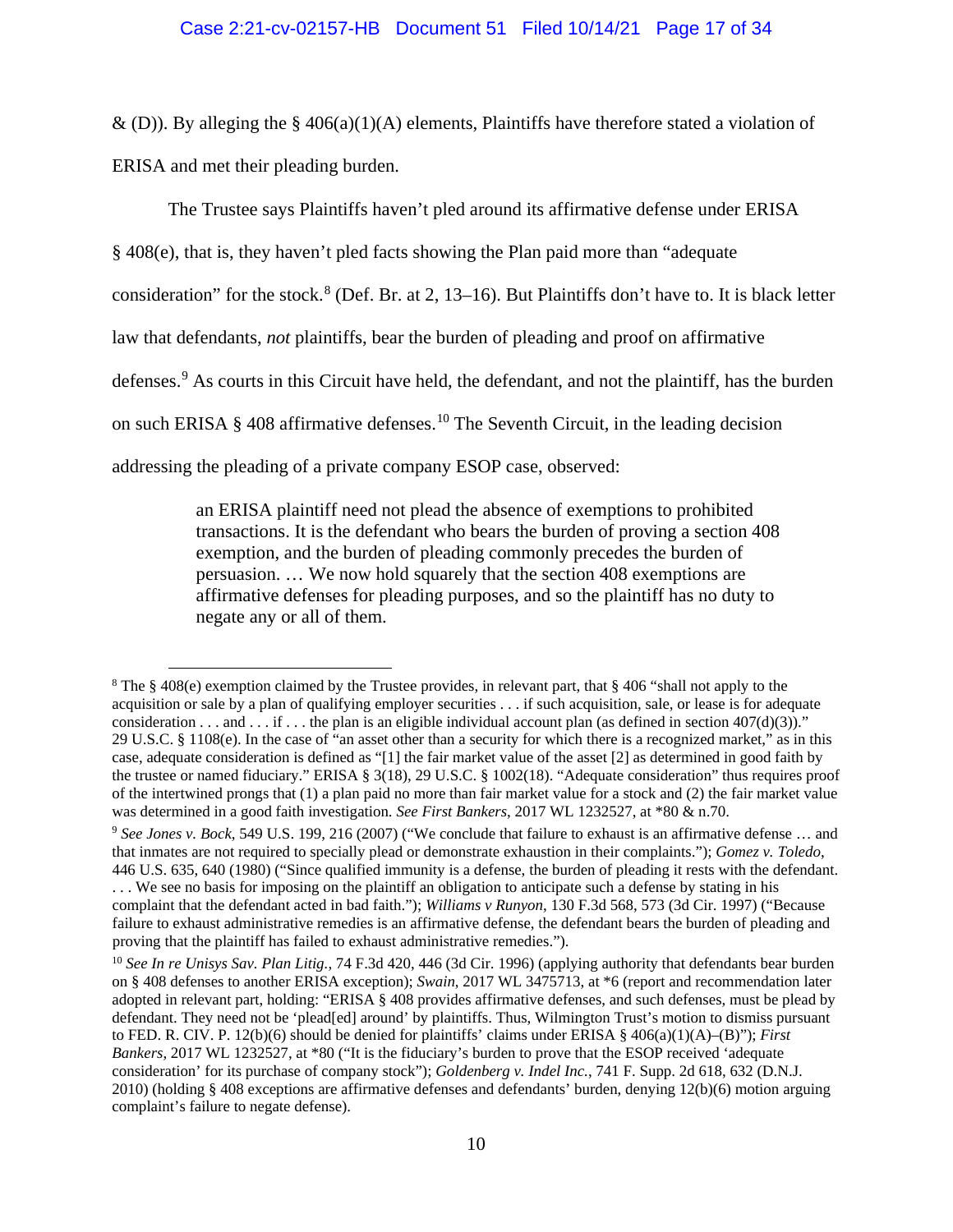& (D)). By alleging the §  $406(a)(1)(A)$  elements, Plaintiffs have therefore stated a violation of ERISA and met their pleading burden.

The Trustee says Plaintiffs haven't pled around its affirmative defense under ERISA

§ 408(e), that is, they haven't pled facts showing the Plan paid more than "adequate

consideration" for the stock. $8$  (Def. Br. at 2, 13–16). But Plaintiffs don't have to. It is black letter

law that defendants, *not* plaintiffs, bear the burden of pleading and proof on affirmative

defenses.<sup>[9](#page-16-1)</sup> As courts in this Circuit have held, the defendant, and not the plaintiff, has the burden

on such ERISA  $\S$  408 affirmative defenses.<sup>[10](#page-16-2)</sup> The Seventh Circuit, in the leading decision

addressing the pleading of a private company ESOP case, observed:

an ERISA plaintiff need not plead the absence of exemptions to prohibited transactions. It is the defendant who bears the burden of proving a section 408 exemption, and the burden of pleading commonly precedes the burden of persuasion. … We now hold squarely that the section 408 exemptions are affirmative defenses for pleading purposes, and so the plaintiff has no duty to negate any or all of them.

<span id="page-16-0"></span><sup>8</sup> The § 408(e) exemption claimed by the Trustee provides, in relevant part, that § 406 "shall not apply to the acquisition or sale by a plan of qualifying employer securities . . . if such acquisition, sale, or lease is for adequate consideration . . . and . . . if . . . the plan is an eligible individual account plan (as defined in section  $407(d)(3)$ )." 29 U.S.C. § 1108(e). In the case of "an asset other than a security for which there is a recognized market," as in this case, adequate consideration is defined as "[1] the fair market value of the asset [2] as determined in good faith by the trustee or named fiduciary." ERISA § 3(18), 29 U.S.C. § 1002(18). "Adequate consideration" thus requires proof of the intertwined prongs that (1) a plan paid no more than fair market value for a stock and (2) the fair market value was determined in a good faith investigation. *See First Bankers*, 2017 WL 1232527, at \*80 & n.70.

<span id="page-16-1"></span><sup>9</sup> *See Jones v. Bock*, 549 U.S. 199, 216 (2007) ("We conclude that failure to exhaust is an affirmative defense … and that inmates are not required to specially plead or demonstrate exhaustion in their complaints."); *Gomez v. Toledo*, 446 U.S. 635, 640 (1980) ("Since qualified immunity is a defense, the burden of pleading it rests with the defendant. . . . We see no basis for imposing on the plaintiff an obligation to anticipate such a defense by stating in his complaint that the defendant acted in bad faith."); *Williams v Runyon*, 130 F.3d 568, 573 (3d Cir. 1997) ("Because failure to exhaust administrative remedies is an affirmative defense, the defendant bears the burden of pleading and proving that the plaintiff has failed to exhaust administrative remedies.").

<span id="page-16-2"></span><sup>10</sup> *See In re Unisys Sav. Plan Litig.*, 74 F.3d 420, 446 (3d Cir. 1996) (applying authority that defendants bear burden on § 408 defenses to another ERISA exception); *Swain*, 2017 WL 3475713, at \*6 (report and recommendation later adopted in relevant part, holding: "ERISA § 408 provides affirmative defenses, and such defenses, must be plead by defendant. They need not be 'plead[ed] around' by plaintiffs. Thus, Wilmington Trust's motion to dismiss pursuant to FED. R. CIV. P. 12(b)(6) should be denied for plaintiffs' claims under ERISA § 406(a)(1)(A)–(B)"); *First Bankers*, 2017 WL 1232527, at \*80 ("It is the fiduciary's burden to prove that the ESOP received 'adequate consideration' for its purchase of company stock"); *Goldenberg v. Indel Inc.*, 741 F. Supp. 2d 618, 632 (D.N.J. 2010) (holding § 408 exceptions are affirmative defenses and defendants' burden, denying 12(b)(6) motion arguing complaint's failure to negate defense).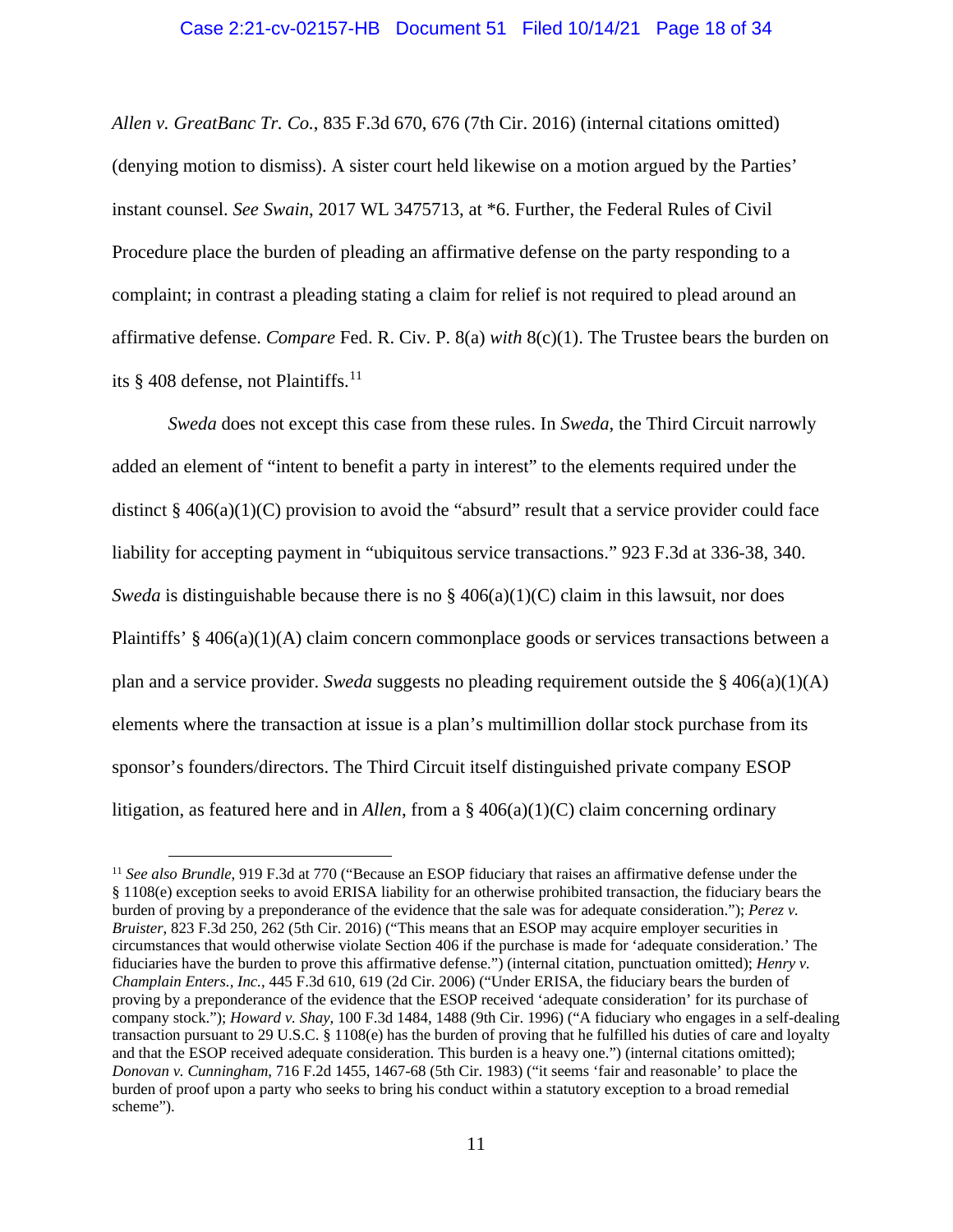# Case 2:21-cv-02157-HB Document 51 Filed 10/14/21 Page 18 of 34

*Allen v. GreatBanc Tr. Co.*, 835 F.3d 670, 676 (7th Cir. 2016) (internal citations omitted) (denying motion to dismiss). A sister court held likewise on a motion argued by the Parties' instant counsel. *See Swain*, 2017 WL 3475713, at \*6. Further, the Federal Rules of Civil Procedure place the burden of pleading an affirmative defense on the party responding to a complaint; in contrast a pleading stating a claim for relief is not required to plead around an affirmative defense. *Compare* Fed. R. Civ. P. 8(a) *with* 8(c)(1). The Trustee bears the burden on its  $§$  408 defense, not Plaintiffs.<sup>[11](#page-17-0)</sup>

*Sweda* does not except this case from these rules. In *Sweda*, the Third Circuit narrowly added an element of "intent to benefit a party in interest" to the elements required under the distinct  $\S 406(a)(1)(C)$  provision to avoid the "absurd" result that a service provider could face liability for accepting payment in "ubiquitous service transactions." 923 F.3d at 336-38, 340. *Sweda* is distinguishable because there is no  $\S$  406(a)(1)(C) claim in this lawsuit, nor does Plaintiffs'  $\S$  406(a)(1)(A) claim concern commonplace goods or services transactions between a plan and a service provider. *Sweda* suggests no pleading requirement outside the § 406(a)(1)(A) elements where the transaction at issue is a plan's multimillion dollar stock purchase from its sponsor's founders/directors. The Third Circuit itself distinguished private company ESOP litigation, as featured here and in *Allen*, from a § 406(a)(1)(C) claim concerning ordinary

<span id="page-17-0"></span><sup>&</sup>lt;sup>11</sup> See also Brundle, 919 F.3d at 770 ("Because an ESOP fiduciary that raises an affirmative defense under the § 1108(e) exception seeks to avoid ERISA liability for an otherwise prohibited transaction, the fiduciary bears the burden of proving by a preponderance of the evidence that the sale was for adequate consideration."); *Perez v. Bruister*, 823 F.3d 250, 262 (5th Cir. 2016) ("This means that an ESOP may acquire employer securities in circumstances that would otherwise violate Section 406 if the purchase is made for 'adequate consideration.' The fiduciaries have the burden to prove this affirmative defense.") (internal citation, punctuation omitted); *Henry v. Champlain Enters., Inc.*, 445 F.3d 610, 619 (2d Cir. 2006) ("Under ERISA, the fiduciary bears the burden of proving by a preponderance of the evidence that the ESOP received 'adequate consideration' for its purchase of company stock."); *Howard v. Shay*, 100 F.3d 1484, 1488 (9th Cir. 1996) ("A fiduciary who engages in a self-dealing transaction pursuant to 29 U.S.C. § 1108(e) has the burden of proving that he fulfilled his duties of care and loyalty and that the ESOP received adequate consideration. This burden is a heavy one.") (internal citations omitted); *Donovan v. Cunningham*, 716 F.2d 1455, 1467-68 (5th Cir. 1983) ("it seems 'fair and reasonable' to place the burden of proof upon a party who seeks to bring his conduct within a statutory exception to a broad remedial scheme").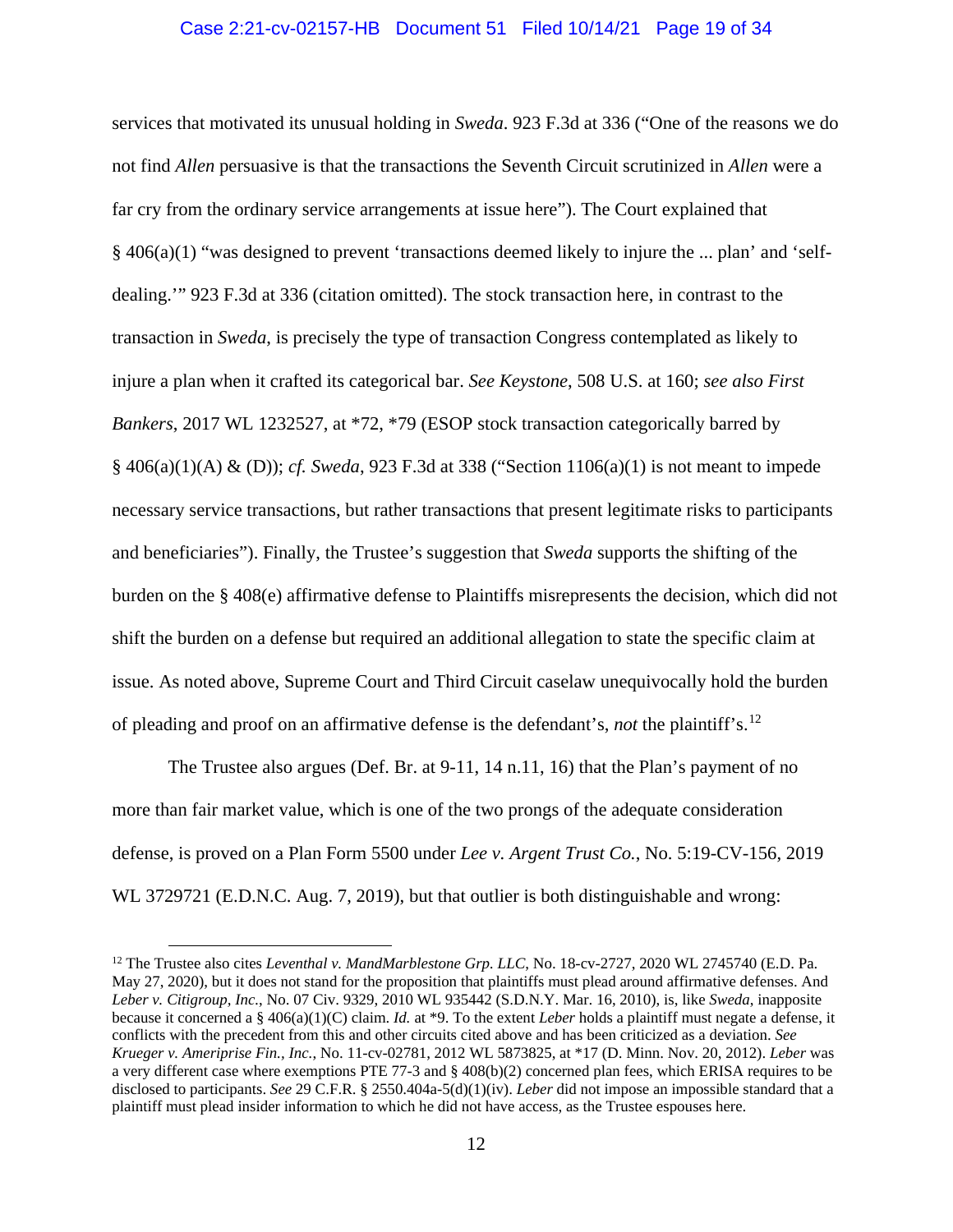# Case 2:21-cv-02157-HB Document 51 Filed 10/14/21 Page 19 of 34

services that motivated its unusual holding in *Sweda*. 923 F.3d at 336 ("One of the reasons we do not find *Allen* persuasive is that the transactions the Seventh Circuit scrutinized in *Allen* were a far cry from the ordinary service arrangements at issue here"). The Court explained that § 406(a)(1) "was designed to prevent 'transactions deemed likely to injure the ... plan' and 'selfdealing.'" 923 F.3d at 336 (citation omitted). The stock transaction here, in contrast to the transaction in *Sweda*, is precisely the type of transaction Congress contemplated as likely to injure a plan when it crafted its categorical bar. *See Keystone*, 508 U.S. at 160; *see also First Bankers*, 2017 WL 1232527, at \*72, \*79 (ESOP stock transaction categorically barred by § 406(a)(1)(A) & (D)); *cf. Sweda*, 923 F.3d at 338 ("Section 1106(a)(1) is not meant to impede necessary service transactions, but rather transactions that present legitimate risks to participants and beneficiaries"). Finally, the Trustee's suggestion that *Sweda* supports the shifting of the burden on the § 408(e) affirmative defense to Plaintiffs misrepresents the decision, which did not shift the burden on a defense but required an additional allegation to state the specific claim at issue. As noted above, Supreme Court and Third Circuit caselaw unequivocally hold the burden of pleading and proof on an affirmative defense is the defendant's, *not* the plaintiff's.[12](#page-18-0)

The Trustee also argues (Def. Br. at 9-11, 14 n.11, 16) that the Plan's payment of no more than fair market value, which is one of the two prongs of the adequate consideration defense, is proved on a Plan Form 5500 under *Lee v. Argent Trust Co.*, No. 5:19-CV-156, 2019 WL 3729721 (E.D.N.C. Aug. 7, 2019), but that outlier is both distinguishable and wrong:

<span id="page-18-0"></span><sup>&</sup>lt;sup>12</sup> The Trustee also cites *Leventhal v. MandMarblestone Grp. LLC*, No. 18-cv-2727, 2020 WL 2745740 (E.D. Pa. May 27, 2020), but it does not stand for the proposition that plaintiffs must plead around affirmative defenses. And *Leber v. Citigroup, Inc.*, No. 07 Civ. 9329, 2010 WL 935442 (S.D.N.Y. Mar. 16, 2010), is, like *Sweda*, inapposite because it concerned a § 406(a)(1)(C) claim. *Id.* at \*9. To the extent *Leber* holds a plaintiff must negate a defense, it conflicts with the precedent from this and other circuits cited above and has been criticized as a deviation. *See Krueger v. Ameriprise Fin., Inc.*, No. 11-cv-02781, 2012 WL 5873825, at \*17 (D. Minn. Nov. 20, 2012). *Leber* was a very different case where exemptions PTE 77-3 and § 408(b)(2) concerned plan fees, which ERISA requires to be disclosed to participants. *See* 29 C.F.R. § 2550.404a-5(d)(1)(iv). *Leber* did not impose an impossible standard that a plaintiff must plead insider information to which he did not have access, as the Trustee espouses here.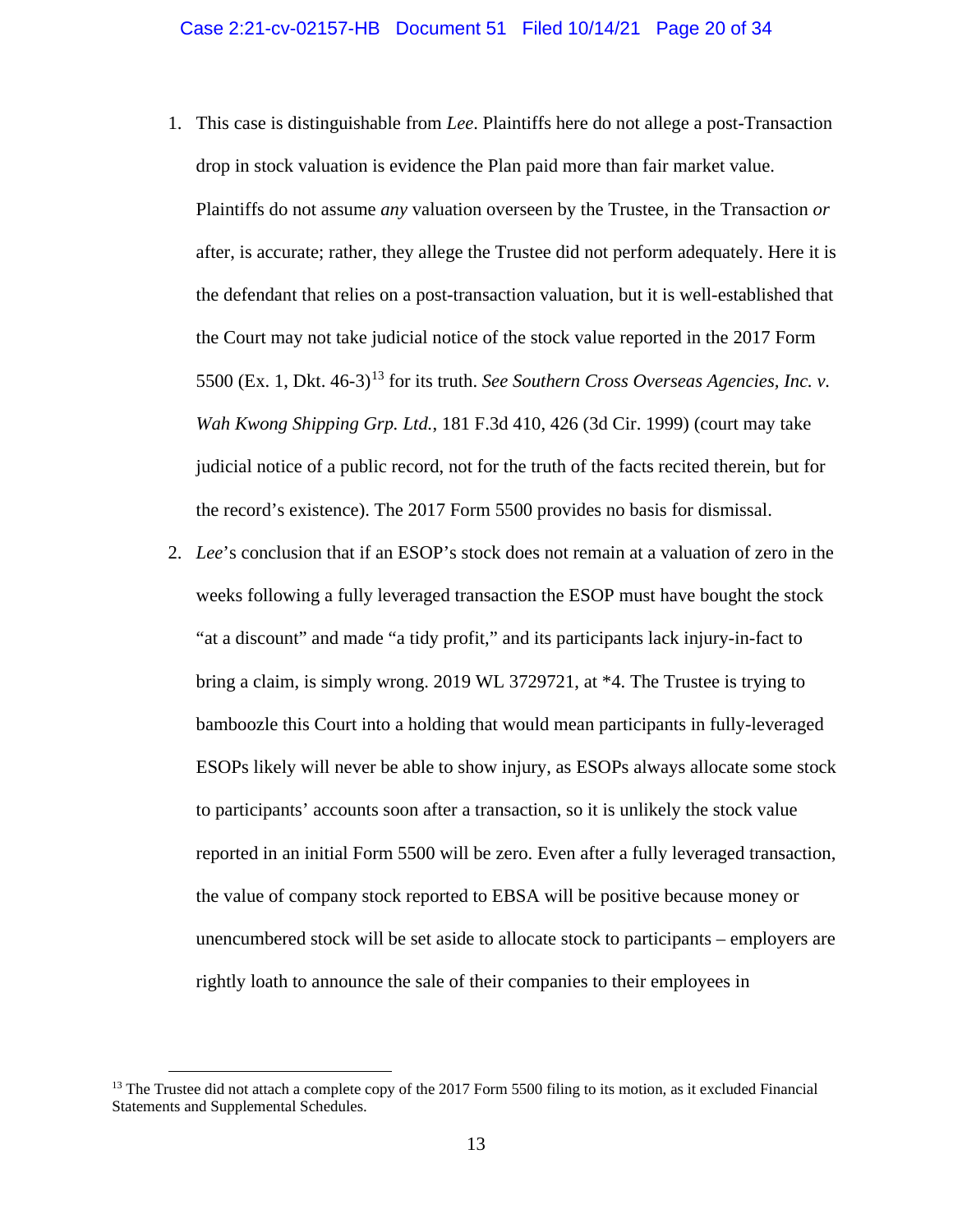- 1. This case is distinguishable from *Lee*. Plaintiffs here do not allege a post-Transaction drop in stock valuation is evidence the Plan paid more than fair market value. Plaintiffs do not assume *any* valuation overseen by the Trustee, in the Transaction *or* after, is accurate; rather, they allege the Trustee did not perform adequately. Here it is the defendant that relies on a post-transaction valuation, but it is well-established that the Court may not take judicial notice of the stock value reported in the 2017 Form 5500 (Ex. 1, Dkt. 46-3)<sup>[13](#page-19-0)</sup> for its truth. *See Southern Cross Overseas Agencies, Inc. v. Wah Kwong Shipping Grp. Ltd.*, 181 F.3d 410, 426 (3d Cir. 1999) (court may take judicial notice of a public record, not for the truth of the facts recited therein, but for the record's existence). The 2017 Form 5500 provides no basis for dismissal.
- 2. *Lee*'s conclusion that if an ESOP's stock does not remain at a valuation of zero in the weeks following a fully leveraged transaction the ESOP must have bought the stock "at a discount" and made "a tidy profit," and its participants lack injury-in-fact to bring a claim, is simply wrong. 2019 WL 3729721, at \*4. The Trustee is trying to bamboozle this Court into a holding that would mean participants in fully-leveraged ESOPs likely will never be able to show injury, as ESOPs always allocate some stock to participants' accounts soon after a transaction, so it is unlikely the stock value reported in an initial Form 5500 will be zero. Even after a fully leveraged transaction, the value of company stock reported to EBSA will be positive because money or unencumbered stock will be set aside to allocate stock to participants – employers are rightly loath to announce the sale of their companies to their employees in

<span id="page-19-0"></span> $<sup>13</sup>$  The Trustee did not attach a complete copy of the 2017 Form 5500 filing to its motion, as it excluded Financial</sup> Statements and Supplemental Schedules.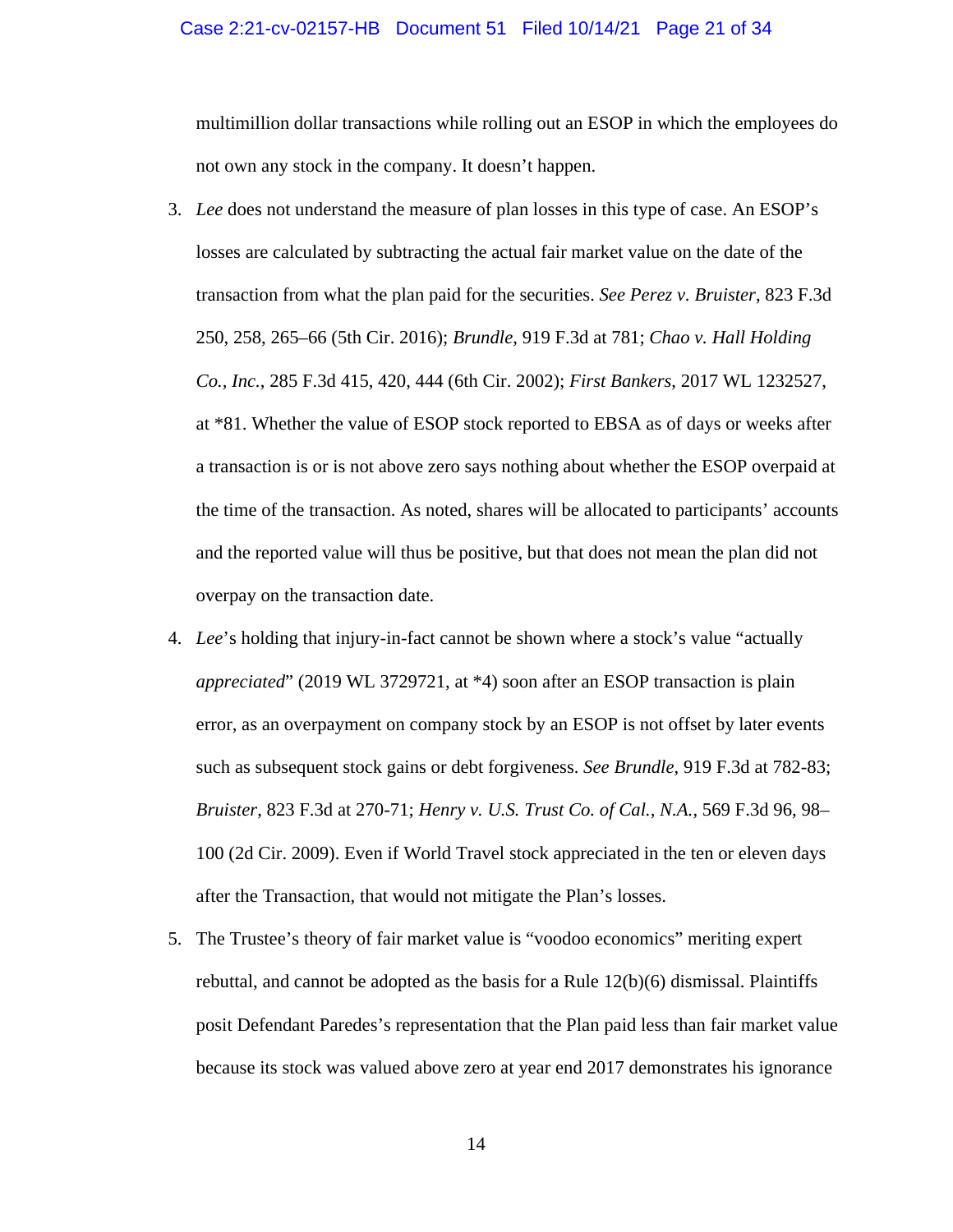#### Case 2:21-cv-02157-HB Document 51 Filed 10/14/21 Page 21 of 34

multimillion dollar transactions while rolling out an ESOP in which the employees do not own any stock in the company. It doesn't happen.

- 3. *Lee* does not understand the measure of plan losses in this type of case. An ESOP's losses are calculated by subtracting the actual fair market value on the date of the transaction from what the plan paid for the securities. *See Perez v. Bruister*, 823 F.3d 250, 258, 265–66 (5th Cir. 2016); *Brundle*, 919 F.3d at 781; *Chao v. Hall Holding Co., Inc.*, 285 F.3d 415, 420, 444 (6th Cir. 2002); *First Bankers*, 2017 WL 1232527, at \*81. Whether the value of ESOP stock reported to EBSA as of days or weeks after a transaction is or is not above zero says nothing about whether the ESOP overpaid at the time of the transaction. As noted, shares will be allocated to participants' accounts and the reported value will thus be positive, but that does not mean the plan did not overpay on the transaction date.
- 4. *Lee*'s holding that injury-in-fact cannot be shown where a stock's value "actually *appreciated*" (2019 WL 3729721, at \*4) soon after an ESOP transaction is plain error, as an overpayment on company stock by an ESOP is not offset by later events such as subsequent stock gains or debt forgiveness. *See Brundle*, 919 F.3d at 782-83; *Bruister*, 823 F.3d at 270-71; *Henry v. U.S. Trust Co. of Cal., N.A.*, 569 F.3d 96, 98– 100 (2d Cir. 2009). Even if World Travel stock appreciated in the ten or eleven days after the Transaction, that would not mitigate the Plan's losses.
- 5. The Trustee's theory of fair market value is "voodoo economics" meriting expert rebuttal, and cannot be adopted as the basis for a Rule  $12(b)(6)$  dismissal. Plaintiffs posit Defendant Paredes's representation that the Plan paid less than fair market value because its stock was valued above zero at year end 2017 demonstrates his ignorance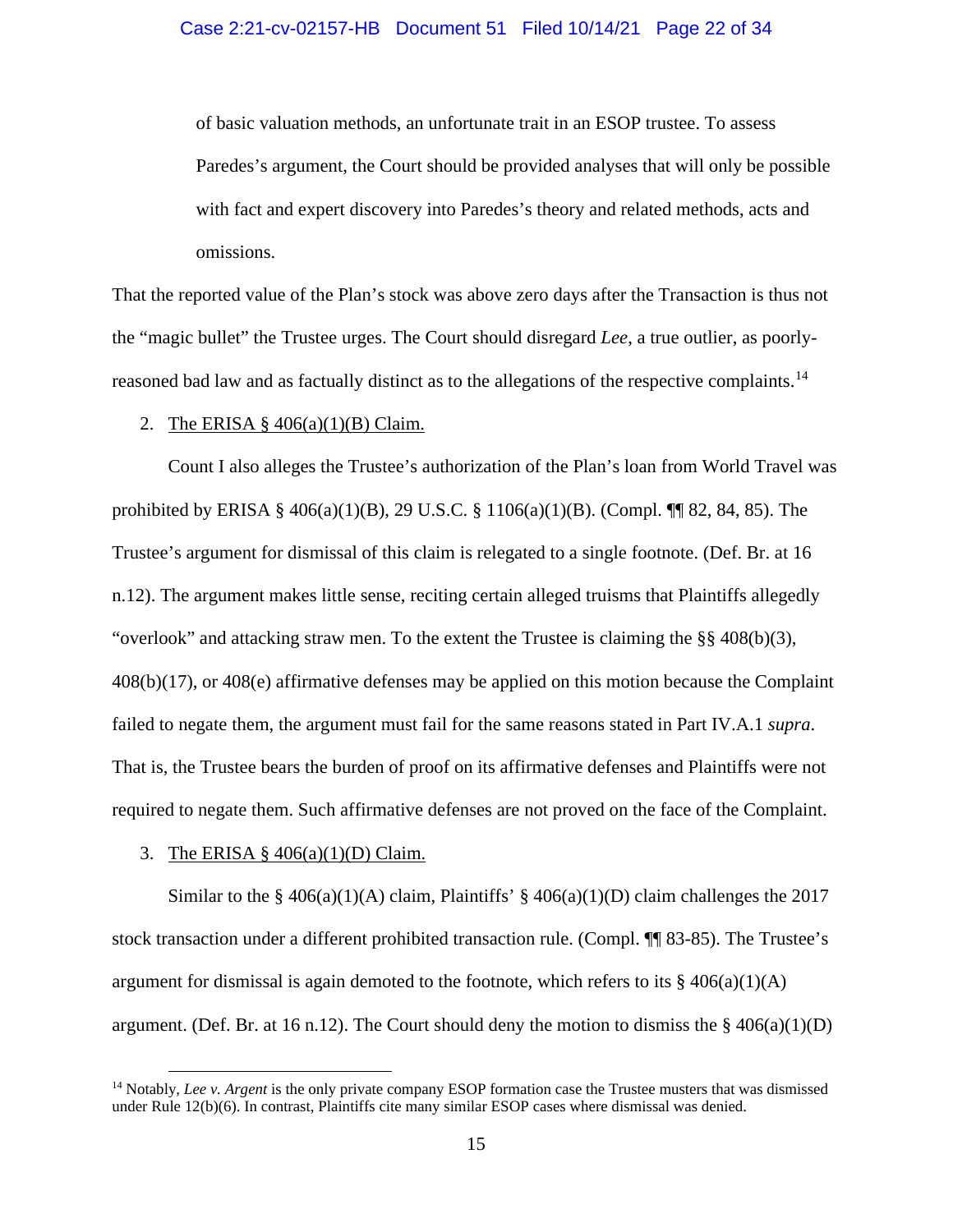# Case 2:21-cv-02157-HB Document 51 Filed 10/14/21 Page 22 of 34

of basic valuation methods, an unfortunate trait in an ESOP trustee. To assess Paredes's argument, the Court should be provided analyses that will only be possible with fact and expert discovery into Paredes's theory and related methods, acts and omissions.

That the reported value of the Plan's stock was above zero days after the Transaction is thus not the "magic bullet" the Trustee urges. The Court should disregard *Lee*, a true outlier, as poorly-reasoned bad law and as factually distinct as to the allegations of the respective complaints.<sup>[14](#page-21-0)</sup>

#### 2. The ERISA  $\S$  406(a)(1)(B) Claim.

Count I also alleges the Trustee's authorization of the Plan's loan from World Travel was prohibited by ERISA § 406(a)(1)(B), 29 U.S.C. § 1106(a)(1)(B). (Compl. ¶¶ 82, 84, 85). The Trustee's argument for dismissal of this claim is relegated to a single footnote. (Def. Br. at 16 n.12). The argument makes little sense, reciting certain alleged truisms that Plaintiffs allegedly "overlook" and attacking straw men. To the extent the Trustee is claiming the  $\S$ § 408(b)(3), 408(b)(17), or 408(e) affirmative defenses may be applied on this motion because the Complaint failed to negate them, the argument must fail for the same reasons stated in Part IV.A.1 *supra*. That is, the Trustee bears the burden of proof on its affirmative defenses and Plaintiffs were not required to negate them. Such affirmative defenses are not proved on the face of the Complaint.

#### 3. The ERISA § 406(a)(1)(D) Claim.

Similar to the § 406(a)(1)(A) claim, Plaintiffs' § 406(a)(1)(D) claim challenges the 2017 stock transaction under a different prohibited transaction rule. (Compl. ¶¶ 83-85). The Trustee's argument for dismissal is again demoted to the footnote, which refers to its  $\frac{8}{9}$  406(a)(1)(A) argument. (Def. Br. at 16 n.12). The Court should deny the motion to dismiss the  $\S$  406(a)(1)(D)

<span id="page-21-0"></span><sup>14</sup> Notably, *Lee v. Argent* is the only private company ESOP formation case the Trustee musters that was dismissed under Rule 12(b)(6). In contrast, Plaintiffs cite many similar ESOP cases where dismissal was denied.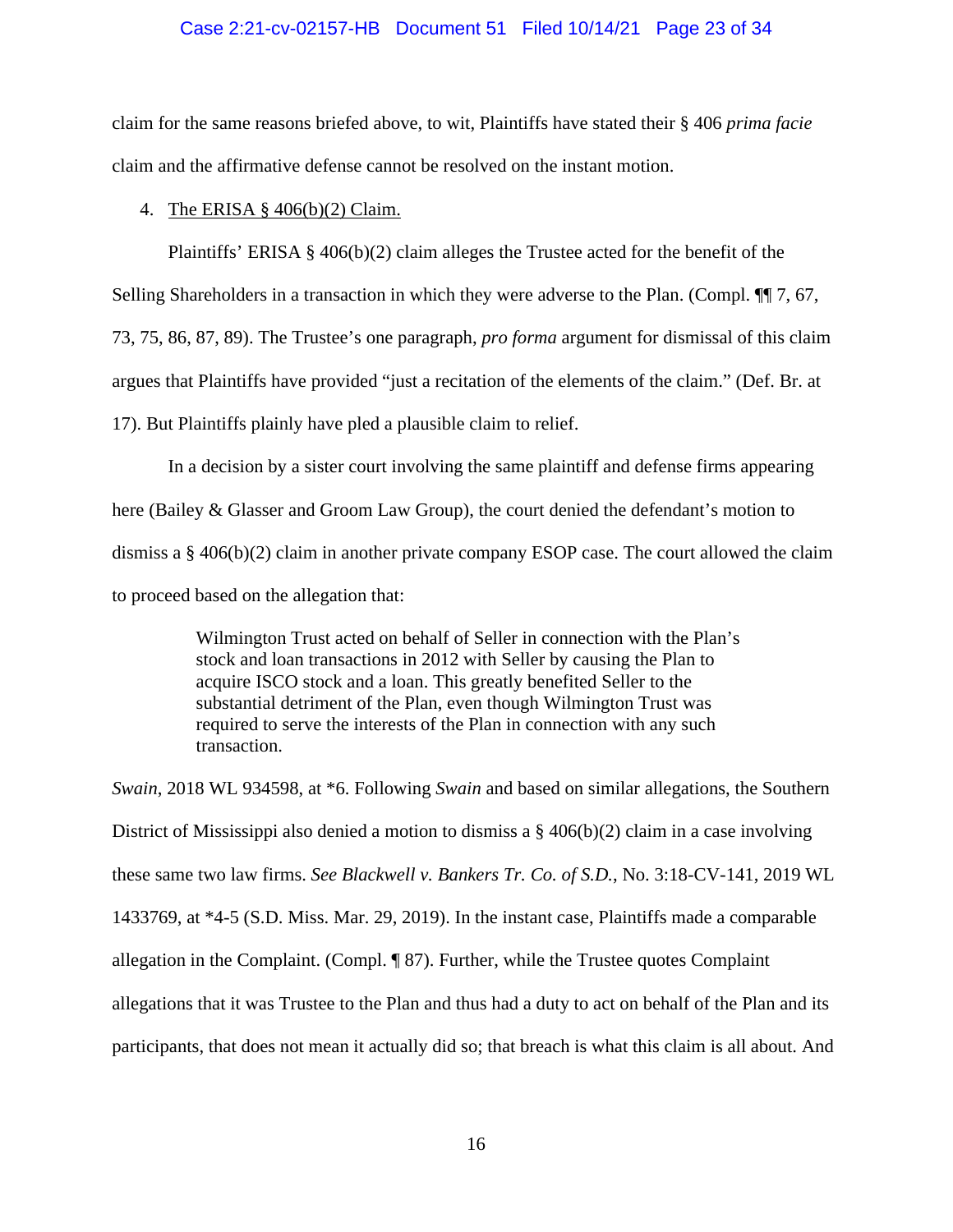# Case 2:21-cv-02157-HB Document 51 Filed 10/14/21 Page 23 of 34

claim for the same reasons briefed above, to wit, Plaintiffs have stated their § 406 *prima facie*  claim and the affirmative defense cannot be resolved on the instant motion.

## 4. The ERISA § 406(b)(2) Claim.

Plaintiffs' ERISA § 406(b)(2) claim alleges the Trustee acted for the benefit of the

Selling Shareholders in a transaction in which they were adverse to the Plan. (Compl. ¶¶ 7, 67,

73, 75, 86, 87, 89). The Trustee's one paragraph, *pro forma* argument for dismissal of this claim

argues that Plaintiffs have provided "just a recitation of the elements of the claim." (Def. Br. at

17). But Plaintiffs plainly have pled a plausible claim to relief.

In a decision by a sister court involving the same plaintiff and defense firms appearing here (Bailey & Glasser and Groom Law Group), the court denied the defendant's motion to dismiss a § 406(b)(2) claim in another private company ESOP case. The court allowed the claim to proceed based on the allegation that:

> Wilmington Trust acted on behalf of Seller in connection with the Plan's stock and loan transactions in 2012 with Seller by causing the Plan to acquire ISCO stock and a loan. This greatly benefited Seller to the substantial detriment of the Plan, even though Wilmington Trust was required to serve the interests of the Plan in connection with any such transaction.

*Swain*, 2018 WL 934598, at \*6. Following *Swain* and based on similar allegations, the Southern District of Mississippi also denied a motion to dismiss a  $\S$  406(b)(2) claim in a case involving these same two law firms. *See Blackwell v. Bankers Tr. Co. of S.D.*, No. 3:18-CV-141, 2019 WL 1433769, at \*4-5 (S.D. Miss. Mar. 29, 2019). In the instant case, Plaintiffs made a comparable allegation in the Complaint. (Compl. ¶ 87). Further, while the Trustee quotes Complaint allegations that it was Trustee to the Plan and thus had a duty to act on behalf of the Plan and its participants, that does not mean it actually did so; that breach is what this claim is all about. And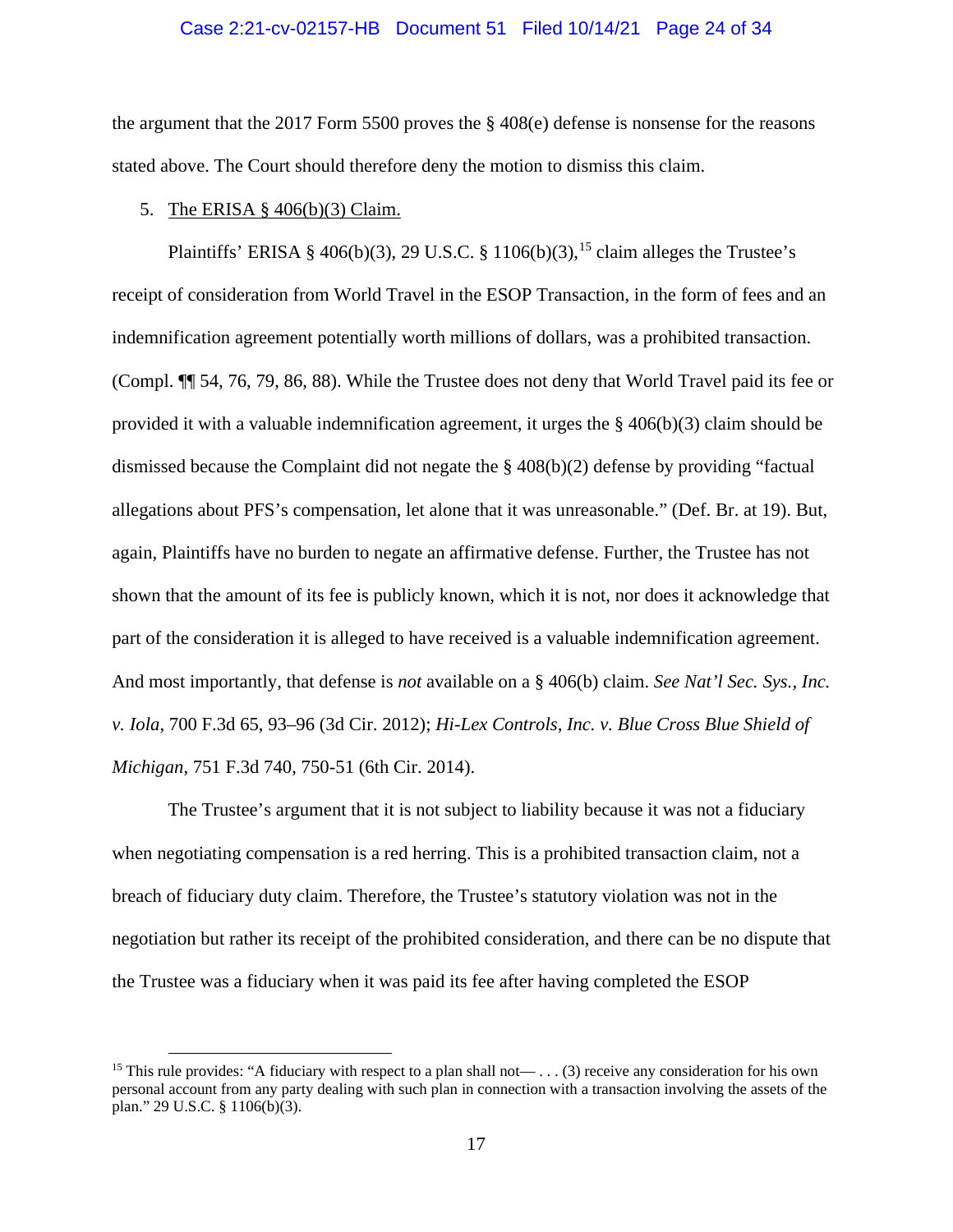### Case 2:21-cv-02157-HB Document 51 Filed 10/14/21 Page 24 of 34

the argument that the 2017 Form 5500 proves the § 408(e) defense is nonsense for the reasons stated above. The Court should therefore deny the motion to dismiss this claim.

#### 5. The ERISA § 406(b)(3) Claim.

Plaintiffs' ERISA § 406(b)(3), 29 U.S.C. § 1106(b)(3), <sup>[15](#page-23-0)</sup> claim alleges the Trustee's receipt of consideration from World Travel in the ESOP Transaction, in the form of fees and an indemnification agreement potentially worth millions of dollars, was a prohibited transaction. (Compl. ¶¶ 54, 76, 79, 86, 88). While the Trustee does not deny that World Travel paid its fee or provided it with a valuable indemnification agreement, it urges the  $\S$  406(b)(3) claim should be dismissed because the Complaint did not negate the § 408(b)(2) defense by providing "factual allegations about PFS's compensation, let alone that it was unreasonable." (Def. Br. at 19). But, again, Plaintiffs have no burden to negate an affirmative defense. Further, the Trustee has not shown that the amount of its fee is publicly known, which it is not, nor does it acknowledge that part of the consideration it is alleged to have received is a valuable indemnification agreement. And most importantly, that defense is *not* available on a § 406(b) claim. *See Nat'l Sec. Sys., Inc. v. Iola*, 700 F.3d 65, 93–96 (3d Cir. 2012); *Hi-Lex Controls, Inc. v. Blue Cross Blue Shield of Michigan*, 751 F.3d 740, 750-51 (6th Cir. 2014).

The Trustee's argument that it is not subject to liability because it was not a fiduciary when negotiating compensation is a red herring. This is a prohibited transaction claim, not a breach of fiduciary duty claim. Therefore, the Trustee's statutory violation was not in the negotiation but rather its receipt of the prohibited consideration, and there can be no dispute that the Trustee was a fiduciary when it was paid its fee after having completed the ESOP

<span id="page-23-0"></span><sup>&</sup>lt;sup>15</sup> This rule provides: "A fiduciary with respect to a plan shall not— . . . (3) receive any consideration for his own personal account from any party dealing with such plan in connection with a transaction involving the assets of the plan." 29 U.S.C. § 1106(b)(3).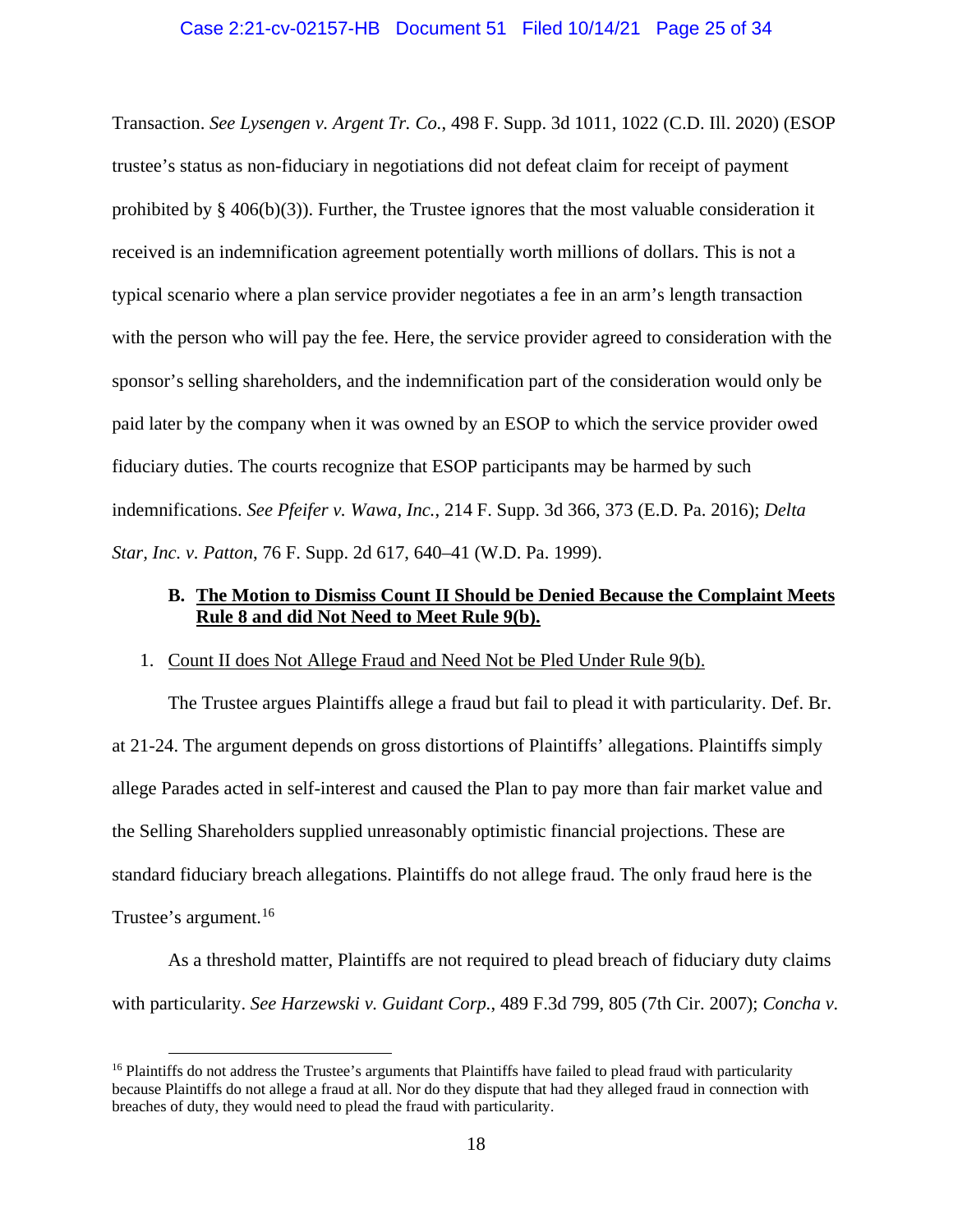# Case 2:21-cv-02157-HB Document 51 Filed 10/14/21 Page 25 of 34

Transaction. *See Lysengen v. Argent Tr. Co.*, 498 F. Supp. 3d 1011, 1022 (C.D. Ill. 2020) (ESOP trustee's status as non-fiduciary in negotiations did not defeat claim for receipt of payment prohibited by  $\S$  406(b)(3)). Further, the Trustee ignores that the most valuable consideration it received is an indemnification agreement potentially worth millions of dollars. This is not a typical scenario where a plan service provider negotiates a fee in an arm's length transaction with the person who will pay the fee. Here, the service provider agreed to consideration with the sponsor's selling shareholders, and the indemnification part of the consideration would only be paid later by the company when it was owned by an ESOP to which the service provider owed fiduciary duties. The courts recognize that ESOP participants may be harmed by such indemnifications. *See Pfeifer v. Wawa, Inc.*, 214 F. Supp. 3d 366, 373 (E.D. Pa. 2016); *Delta Star, Inc. v. Patton*, 76 F. Supp. 2d 617, 640–41 (W.D. Pa. 1999).

# **B. The Motion to Dismiss Count II Should be Denied Because the Complaint Meets Rule 8 and did Not Need to Meet Rule 9(b).**

## 1. Count II does Not Allege Fraud and Need Not be Pled Under Rule 9(b).

The Trustee argues Plaintiffs allege a fraud but fail to plead it with particularity. Def. Br. at 21-24. The argument depends on gross distortions of Plaintiffs' allegations. Plaintiffs simply allege Parades acted in self-interest and caused the Plan to pay more than fair market value and the Selling Shareholders supplied unreasonably optimistic financial projections. These are standard fiduciary breach allegations. Plaintiffs do not allege fraud. The only fraud here is the Trustee's argument.<sup>[16](#page-24-0)</sup>

As a threshold matter, Plaintiffs are not required to plead breach of fiduciary duty claims with particularity. *See Harzewski v. Guidant Corp.*, 489 F.3d 799, 805 (7th Cir. 2007); *Concha v.* 

<span id="page-24-0"></span><sup>&</sup>lt;sup>16</sup> Plaintiffs do not address the Trustee's arguments that Plaintiffs have failed to plead fraud with particularity because Plaintiffs do not allege a fraud at all. Nor do they dispute that had they alleged fraud in connection with breaches of duty, they would need to plead the fraud with particularity.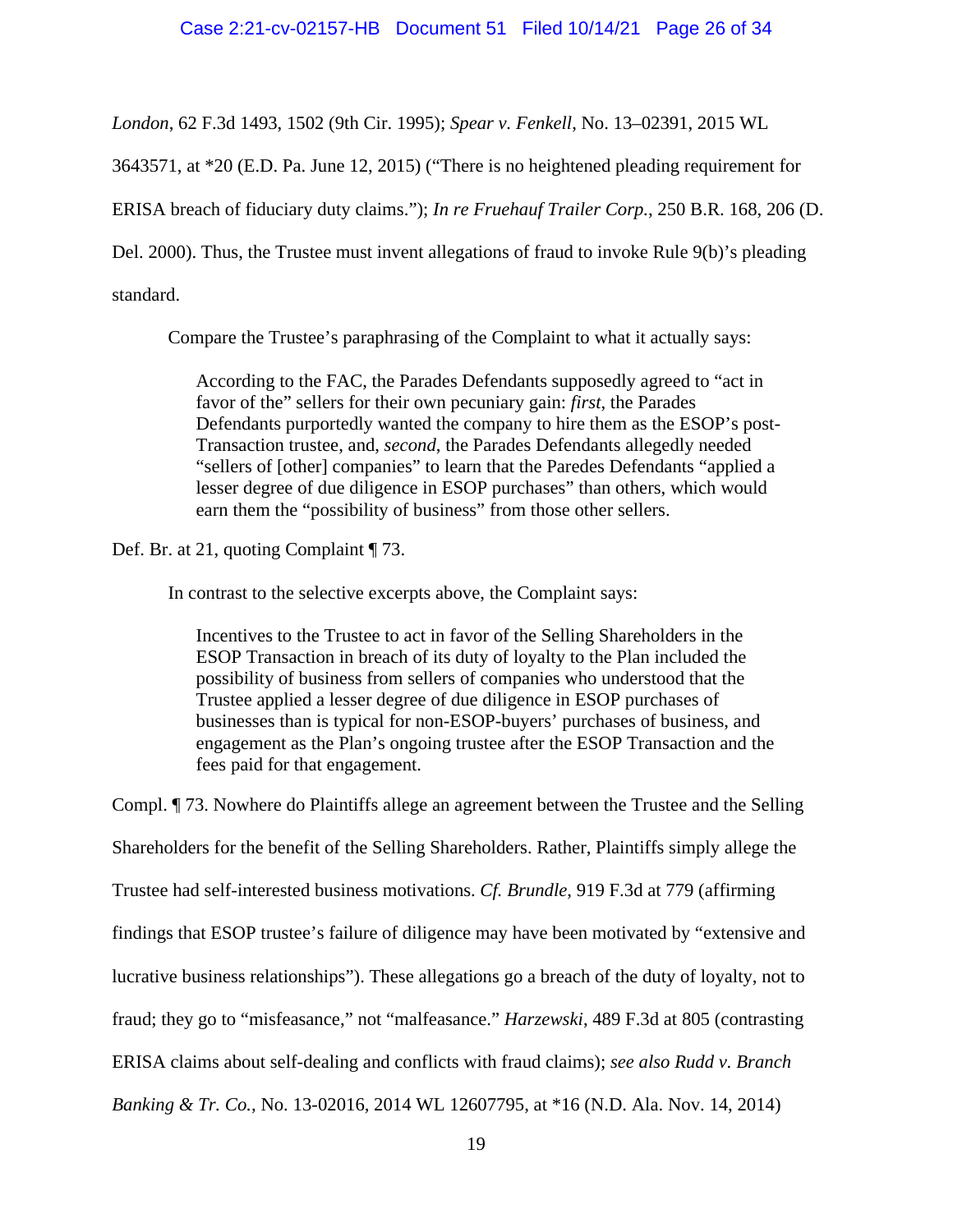*London*, 62 F.3d 1493, 1502 (9th Cir. 1995); *Spear v. Fenkell*, No. 13–02391, 2015 WL

3643571, at \*20 (E.D. Pa. June 12, 2015) ("There is no heightened pleading requirement for

ERISA breach of fiduciary duty claims."); *In re Fruehauf Trailer Corp.*, 250 B.R. 168, 206 (D.

Del. 2000). Thus, the Trustee must invent allegations of fraud to invoke Rule 9(b)'s pleading

standard.

Compare the Trustee's paraphrasing of the Complaint to what it actually says:

According to the FAC, the Parades Defendants supposedly agreed to "act in favor of the" sellers for their own pecuniary gain: *first*, the Parades Defendants purportedly wanted the company to hire them as the ESOP's post-Transaction trustee, and, *second*, the Parades Defendants allegedly needed "sellers of [other] companies" to learn that the Paredes Defendants "applied a lesser degree of due diligence in ESOP purchases" than others, which would earn them the "possibility of business" from those other sellers.

Def. Br. at 21, quoting Complaint ¶ 73.

In contrast to the selective excerpts above, the Complaint says:

Incentives to the Trustee to act in favor of the Selling Shareholders in the ESOP Transaction in breach of its duty of loyalty to the Plan included the possibility of business from sellers of companies who understood that the Trustee applied a lesser degree of due diligence in ESOP purchases of businesses than is typical for non-ESOP-buyers' purchases of business, and engagement as the Plan's ongoing trustee after the ESOP Transaction and the fees paid for that engagement.

Compl. ¶ 73. Nowhere do Plaintiffs allege an agreement between the Trustee and the Selling

Shareholders for the benefit of the Selling Shareholders. Rather, Plaintiffs simply allege the

Trustee had self-interested business motivations. *Cf. Brundle*, 919 F.3d at 779 (affirming

findings that ESOP trustee's failure of diligence may have been motivated by "extensive and

lucrative business relationships"). These allegations go a breach of the duty of loyalty, not to

fraud; they go to "misfeasance," not "malfeasance." *Harzewski*, 489 F.3d at 805 (contrasting

ERISA claims about self-dealing and conflicts with fraud claims); *see also Rudd v. Branch* 

*Banking & Tr. Co.*, No. 13-02016, 2014 WL 12607795, at \*16 (N.D. Ala. Nov. 14, 2014)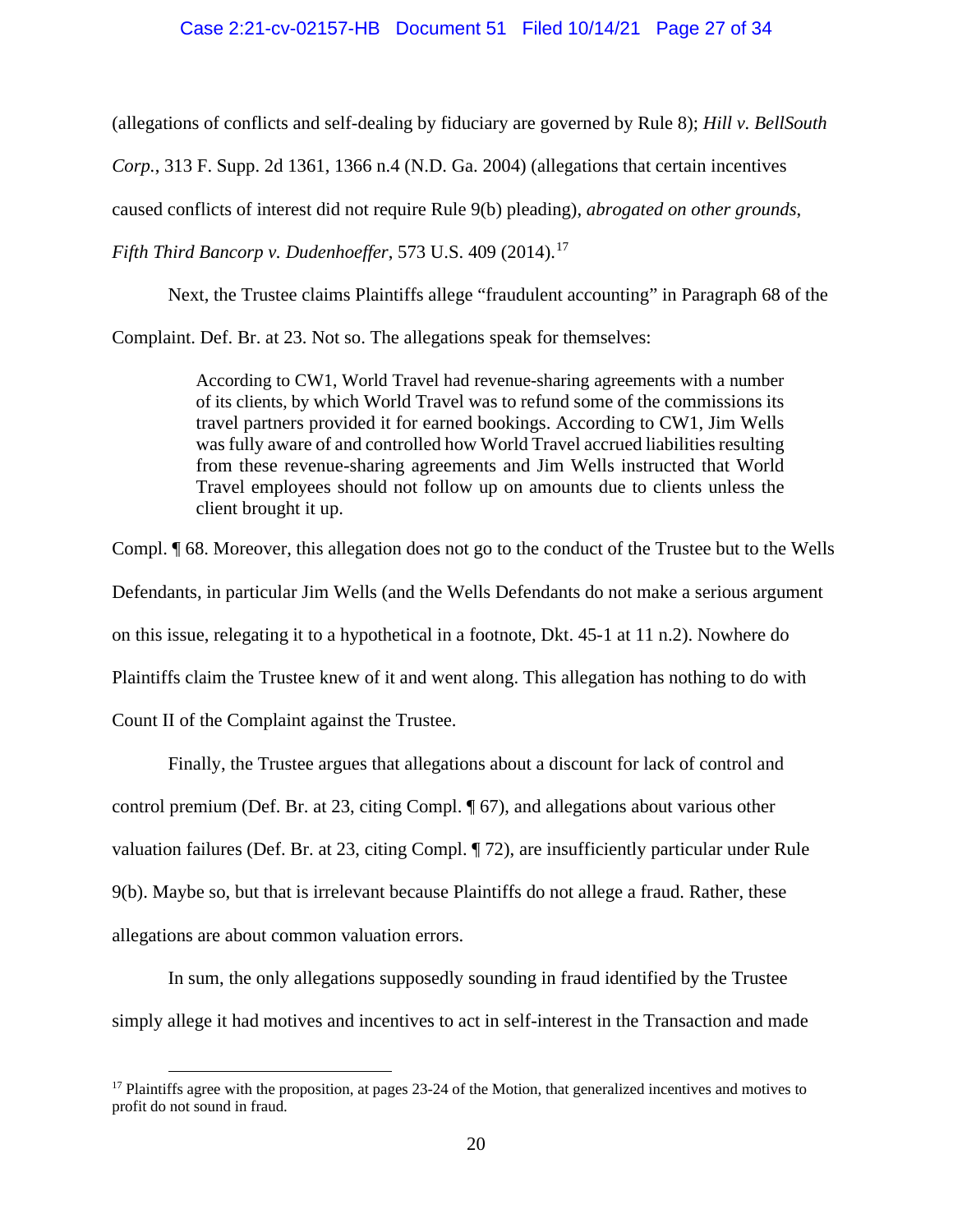(allegations of conflicts and self-dealing by fiduciary are governed by Rule 8); *Hill v. BellSouth* 

*Corp.*, 313 F. Supp. 2d 1361, 1366 n.4 (N.D. Ga. 2004) (allegations that certain incentives

caused conflicts of interest did not require Rule 9(b) pleading), *abrogated on other grounds*,

*Fifth Third Bancorp v. Dudenhoeffer, 573 U.S. 409 (2014).*<sup>[17](#page-26-0)</sup>

Next, the Trustee claims Plaintiffs allege "fraudulent accounting" in Paragraph 68 of the

Complaint. Def. Br. at 23. Not so. The allegations speak for themselves:

According to CW1, World Travel had revenue-sharing agreements with a number of its clients, by which World Travel was to refund some of the commissions its travel partners provided it for earned bookings. According to CW1, Jim Wells was fully aware of and controlled how World Travel accrued liabilities resulting from these revenue-sharing agreements and Jim Wells instructed that World Travel employees should not follow up on amounts due to clients unless the client brought it up.

Compl. ¶ 68. Moreover, this allegation does not go to the conduct of the Trustee but to the Wells Defendants, in particular Jim Wells (and the Wells Defendants do not make a serious argument on this issue, relegating it to a hypothetical in a footnote, Dkt. 45-1 at 11 n.2). Nowhere do Plaintiffs claim the Trustee knew of it and went along. This allegation has nothing to do with Count II of the Complaint against the Trustee.

Finally, the Trustee argues that allegations about a discount for lack of control and control premium (Def. Br. at 23, citing Compl. ¶ 67), and allegations about various other valuation failures (Def. Br. at 23, citing Compl. ¶ 72), are insufficiently particular under Rule 9(b). Maybe so, but that is irrelevant because Plaintiffs do not allege a fraud. Rather, these allegations are about common valuation errors.

In sum, the only allegations supposedly sounding in fraud identified by the Trustee simply allege it had motives and incentives to act in self-interest in the Transaction and made

<span id="page-26-0"></span> $17$  Plaintiffs agree with the proposition, at pages 23-24 of the Motion, that generalized incentives and motives to profit do not sound in fraud.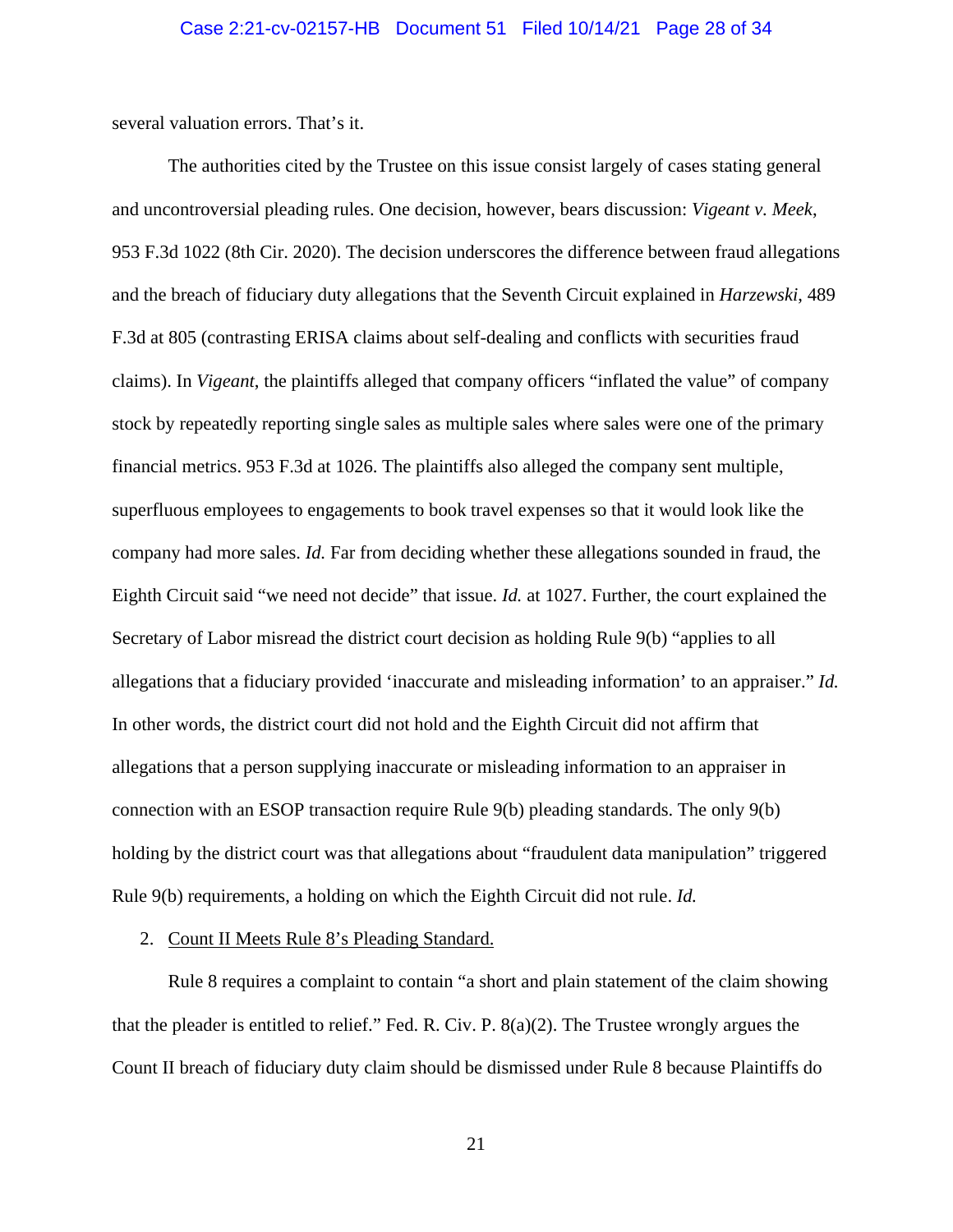several valuation errors. That's it.

The authorities cited by the Trustee on this issue consist largely of cases stating general and uncontroversial pleading rules. One decision, however, bears discussion: *Vigeant v. Meek*, 953 F.3d 1022 (8th Cir. 2020). The decision underscores the difference between fraud allegations and the breach of fiduciary duty allegations that the Seventh Circuit explained in *Harzewski*, 489 F.3d at 805 (contrasting ERISA claims about self-dealing and conflicts with securities fraud claims). In *Vigeant*, the plaintiffs alleged that company officers "inflated the value" of company stock by repeatedly reporting single sales as multiple sales where sales were one of the primary financial metrics. 953 F.3d at 1026. The plaintiffs also alleged the company sent multiple, superfluous employees to engagements to book travel expenses so that it would look like the company had more sales. *Id.* Far from deciding whether these allegations sounded in fraud, the Eighth Circuit said "we need not decide" that issue. *Id.* at 1027. Further, the court explained the Secretary of Labor misread the district court decision as holding Rule 9(b) "applies to all allegations that a fiduciary provided 'inaccurate and misleading information' to an appraiser." *Id.* In other words, the district court did not hold and the Eighth Circuit did not affirm that allegations that a person supplying inaccurate or misleading information to an appraiser in connection with an ESOP transaction require Rule 9(b) pleading standards. The only 9(b) holding by the district court was that allegations about "fraudulent data manipulation" triggered Rule 9(b) requirements, a holding on which the Eighth Circuit did not rule. *Id.*

#### 2. Count II Meets Rule 8's Pleading Standard.

Rule 8 requires a complaint to contain "a short and plain statement of the claim showing that the pleader is entitled to relief." Fed. R. Civ. P. 8(a)(2). The Trustee wrongly argues the Count II breach of fiduciary duty claim should be dismissed under Rule 8 because Plaintiffs do

21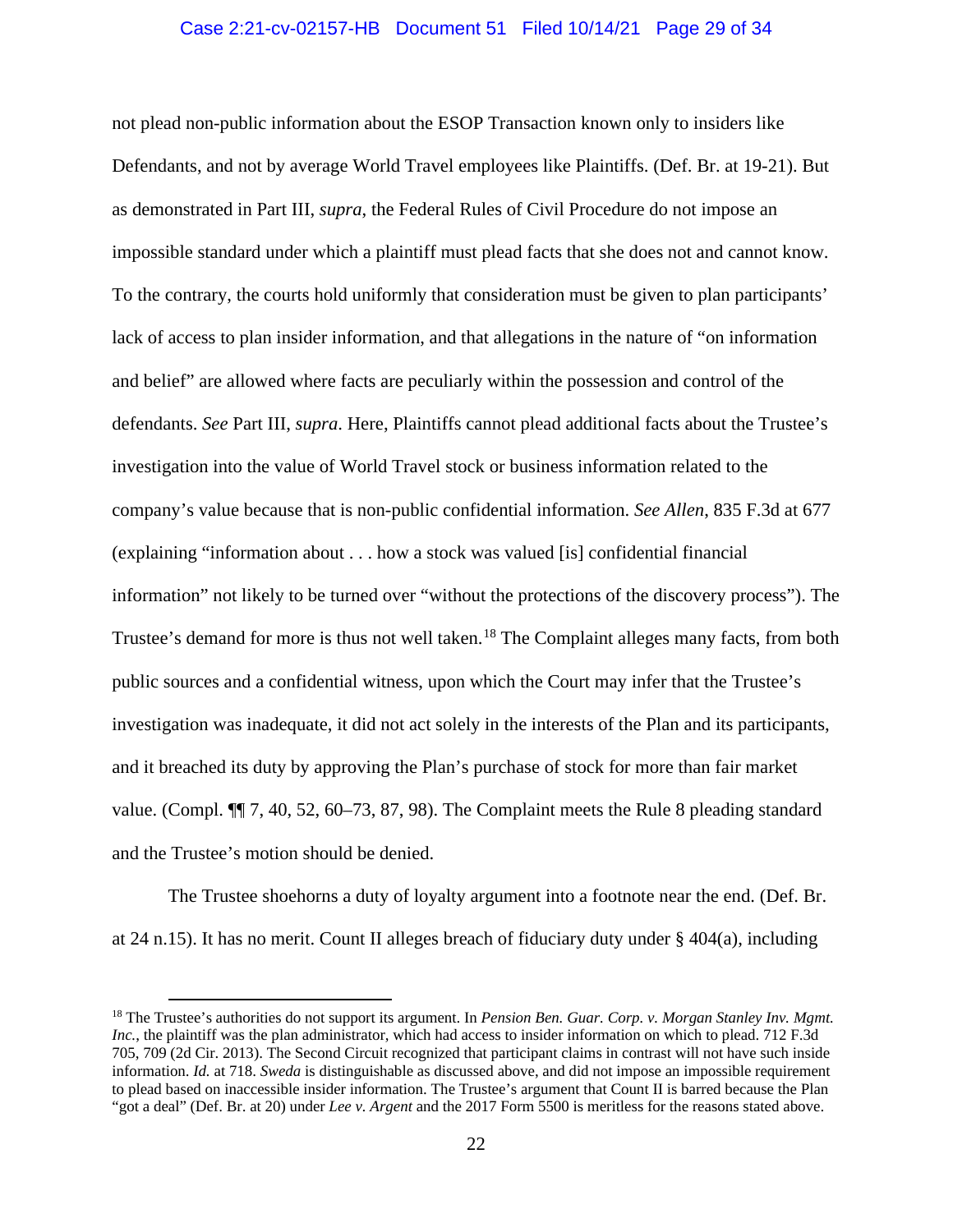# Case 2:21-cv-02157-HB Document 51 Filed 10/14/21 Page 29 of 34

not plead non-public information about the ESOP Transaction known only to insiders like Defendants, and not by average World Travel employees like Plaintiffs. (Def. Br. at 19-21). But as demonstrated in Part III, *supra*, the Federal Rules of Civil Procedure do not impose an impossible standard under which a plaintiff must plead facts that she does not and cannot know. To the contrary, the courts hold uniformly that consideration must be given to plan participants' lack of access to plan insider information, and that allegations in the nature of "on information and belief" are allowed where facts are peculiarly within the possession and control of the defendants. *See* Part III, *supra*. Here, Plaintiffs cannot plead additional facts about the Trustee's investigation into the value of World Travel stock or business information related to the company's value because that is non-public confidential information. *See Allen*, 835 F.3d at 677 (explaining "information about . . . how a stock was valued [is] confidential financial information" not likely to be turned over "without the protections of the discovery process"). The Trustee's demand for more is thus not well taken.<sup>[18](#page-28-0)</sup> The Complaint alleges many facts, from both public sources and a confidential witness, upon which the Court may infer that the Trustee's investigation was inadequate, it did not act solely in the interests of the Plan and its participants, and it breached its duty by approving the Plan's purchase of stock for more than fair market value. (Compl. ¶¶ 7, 40, 52, 60–73, 87, 98). The Complaint meets the Rule 8 pleading standard and the Trustee's motion should be denied.

The Trustee shoehorns a duty of loyalty argument into a footnote near the end. (Def. Br. at 24 n.15). It has no merit. Count II alleges breach of fiduciary duty under  $\S$  404(a), including

<span id="page-28-0"></span><sup>18</sup> The Trustee's authorities do not support its argument. In *Pension Ben. Guar. Corp. v. Morgan Stanley Inv. Mgmt. Inc.*, the plaintiff was the plan administrator, which had access to insider information on which to plead. 712 F.3d 705, 709 (2d Cir. 2013). The Second Circuit recognized that participant claims in contrast will not have such inside information. *Id.* at 718. *Sweda* is distinguishable as discussed above, and did not impose an impossible requirement to plead based on inaccessible insider information. The Trustee's argument that Count II is barred because the Plan "got a deal" (Def. Br. at 20) under *Lee v. Argent* and the 2017 Form 5500 is meritless for the reasons stated above.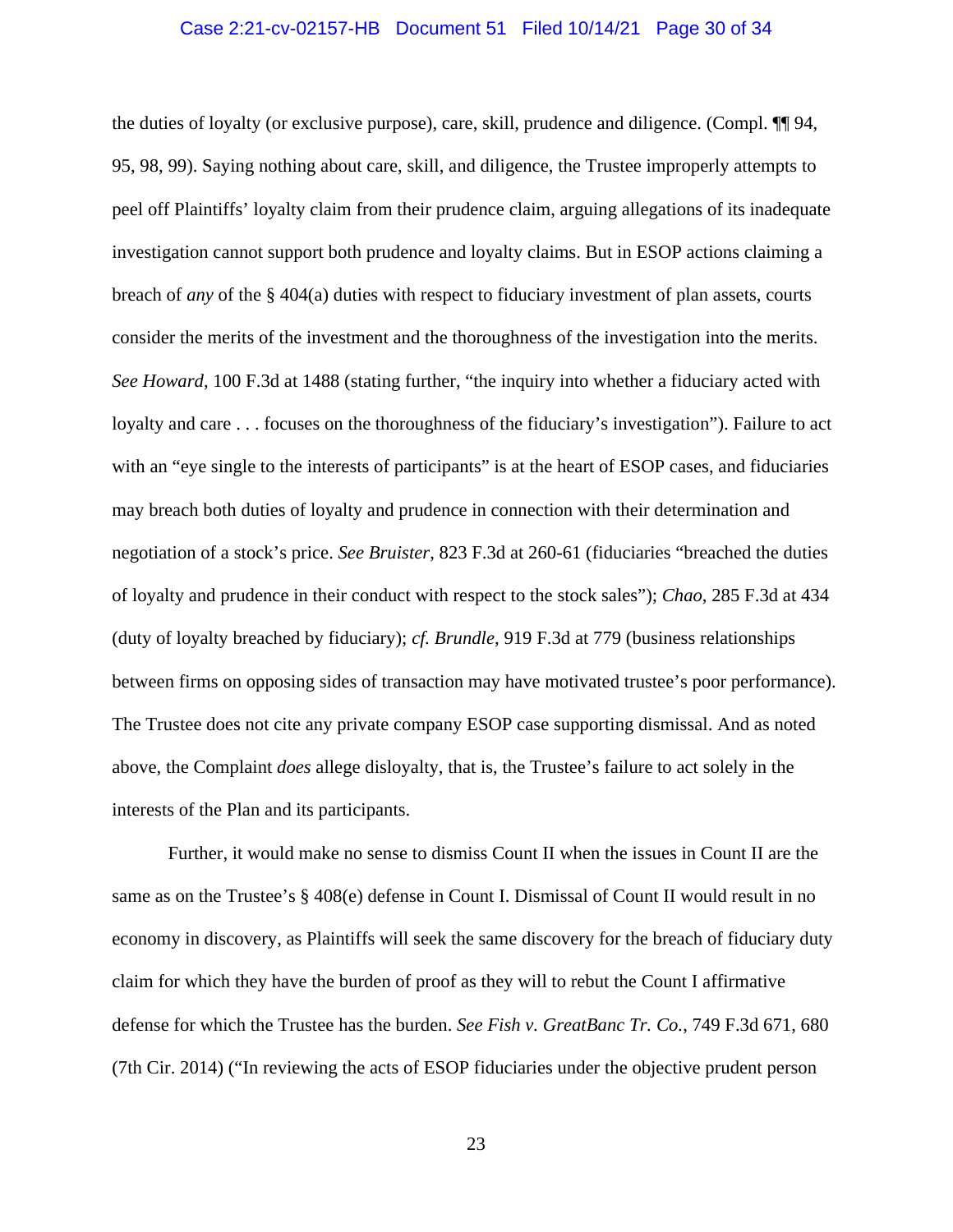# Case 2:21-cv-02157-HB Document 51 Filed 10/14/21 Page 30 of 34

the duties of loyalty (or exclusive purpose), care, skill, prudence and diligence. (Compl. ¶¶ 94, 95, 98, 99). Saying nothing about care, skill, and diligence, the Trustee improperly attempts to peel off Plaintiffs' loyalty claim from their prudence claim, arguing allegations of its inadequate investigation cannot support both prudence and loyalty claims. But in ESOP actions claiming a breach of *any* of the § 404(a) duties with respect to fiduciary investment of plan assets, courts consider the merits of the investment and the thoroughness of the investigation into the merits. *See Howard*, 100 F.3d at 1488 (stating further, "the inquiry into whether a fiduciary acted with loyalty and care . . . focuses on the thoroughness of the fiduciary's investigation"). Failure to act with an "eye single to the interests of participants" is at the heart of ESOP cases, and fiduciaries may breach both duties of loyalty and prudence in connection with their determination and negotiation of a stock's price. *See Bruister*, 823 F.3d at 260-61 (fiduciaries "breached the duties of loyalty and prudence in their conduct with respect to the stock sales"); *Chao*, 285 F.3d at 434 (duty of loyalty breached by fiduciary); *cf. Brundle*, 919 F.3d at 779 (business relationships between firms on opposing sides of transaction may have motivated trustee's poor performance). The Trustee does not cite any private company ESOP case supporting dismissal. And as noted above, the Complaint *does* allege disloyalty, that is, the Trustee's failure to act solely in the interests of the Plan and its participants.

Further, it would make no sense to dismiss Count II when the issues in Count II are the same as on the Trustee's § 408(e) defense in Count I. Dismissal of Count II would result in no economy in discovery, as Plaintiffs will seek the same discovery for the breach of fiduciary duty claim for which they have the burden of proof as they will to rebut the Count I affirmative defense for which the Trustee has the burden. *See Fish v. GreatBanc Tr. Co.*, 749 F.3d 671, 680 (7th Cir. 2014) ("In reviewing the acts of ESOP fiduciaries under the objective prudent person

23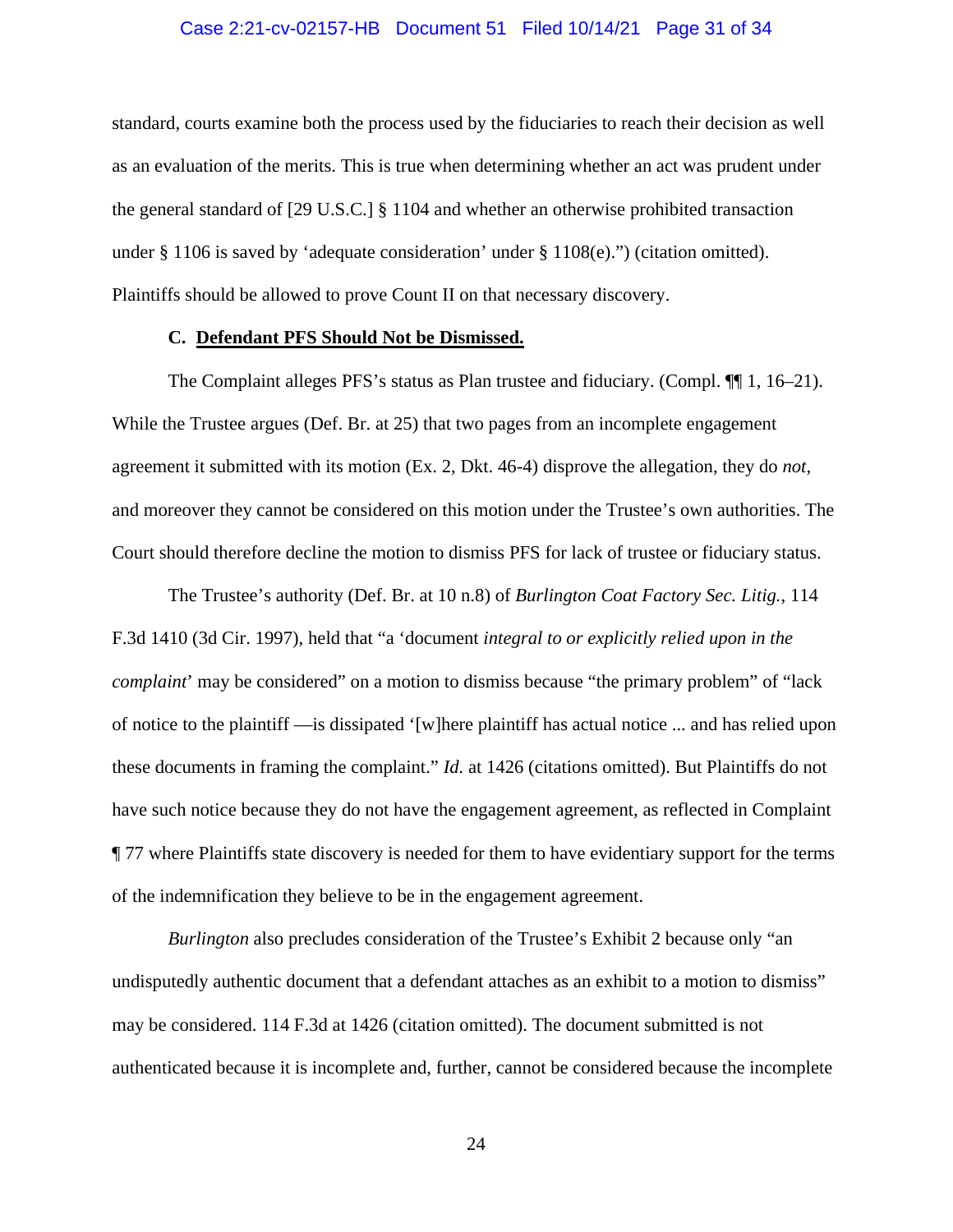# Case 2:21-cv-02157-HB Document 51 Filed 10/14/21 Page 31 of 34

standard, courts examine both the process used by the fiduciaries to reach their decision as well as an evaluation of the merits. This is true when determining whether an act was prudent under the general standard of [29 U.S.C.] § 1104 and whether an otherwise prohibited transaction under § 1106 is saved by 'adequate consideration' under § 1108(e).") (citation omitted). Plaintiffs should be allowed to prove Count II on that necessary discovery.

# **C. Defendant PFS Should Not be Dismissed.**

The Complaint alleges PFS's status as Plan trustee and fiduciary. (Compl. ¶¶ 1, 16–21). While the Trustee argues (Def. Br. at 25) that two pages from an incomplete engagement agreement it submitted with its motion (Ex. 2, Dkt. 46-4) disprove the allegation, they do *not*, and moreover they cannot be considered on this motion under the Trustee's own authorities. The Court should therefore decline the motion to dismiss PFS for lack of trustee or fiduciary status.

The Trustee's authority (Def. Br. at 10 n.8) of *Burlington Coat Factory Sec. Litig.*, 114 F.3d 1410 (3d Cir. 1997), held that "a 'document *integral to or explicitly relied upon in the complaint*' may be considered" on a motion to dismiss because "the primary problem" of "lack of notice to the plaintiff —is dissipated '[w]here plaintiff has actual notice ... and has relied upon these documents in framing the complaint." *Id.* at 1426 (citations omitted). But Plaintiffs do not have such notice because they do not have the engagement agreement, as reflected in Complaint ¶ 77 where Plaintiffs state discovery is needed for them to have evidentiary support for the terms of the indemnification they believe to be in the engagement agreement.

*Burlington* also precludes consideration of the Trustee's Exhibit 2 because only "an undisputedly authentic document that a defendant attaches as an exhibit to a motion to dismiss" may be considered. 114 F.3d at 1426 (citation omitted). The document submitted is not authenticated because it is incomplete and, further, cannot be considered because the incomplete

24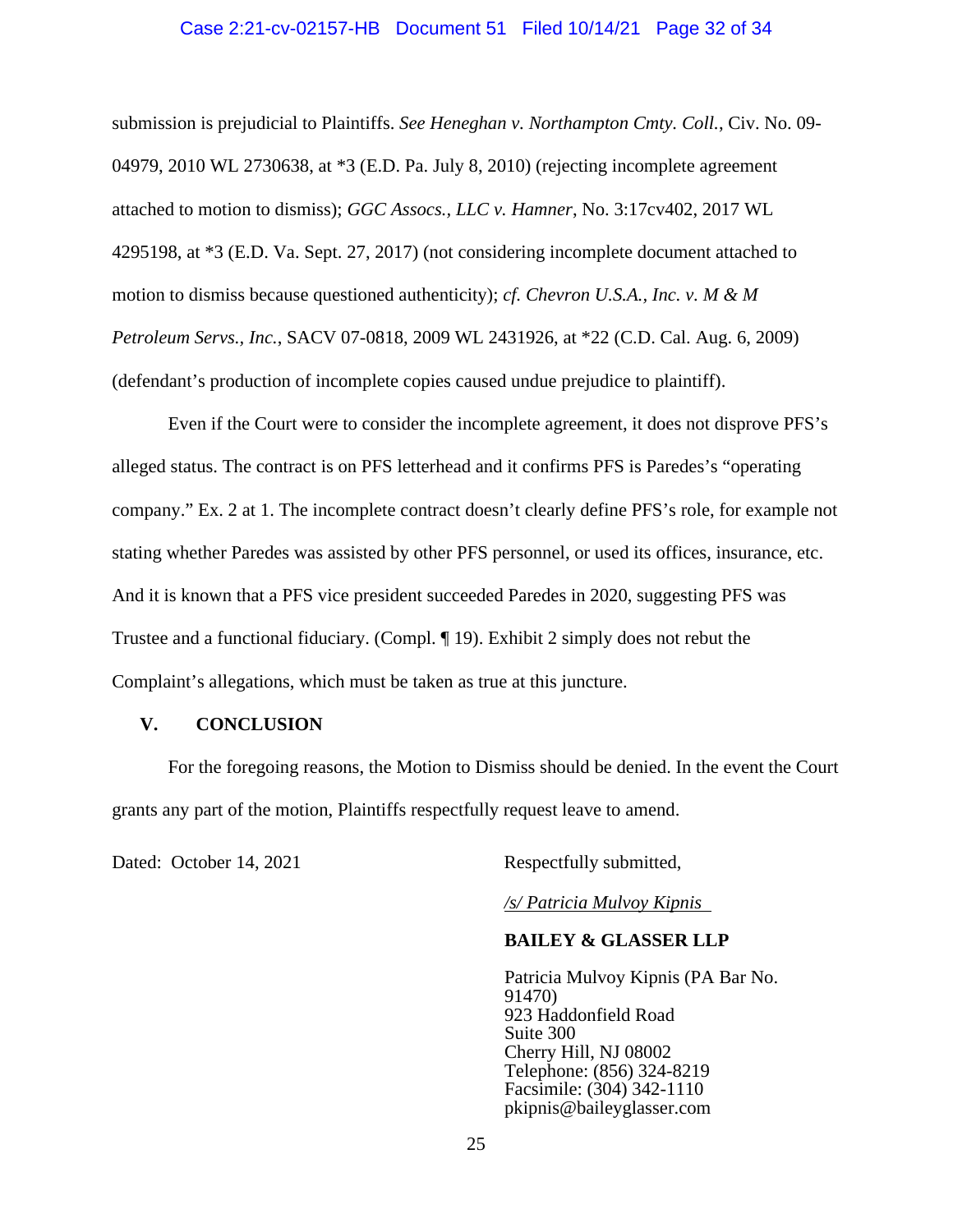#### Case 2:21-cv-02157-HB Document 51 Filed 10/14/21 Page 32 of 34

submission is prejudicial to Plaintiffs. *See Heneghan v. Northampton Cmty. Coll.*, Civ. No. 09- 04979, 2010 WL 2730638, at \*3 (E.D. Pa. July 8, 2010) (rejecting incomplete agreement attached to motion to dismiss); *GGC Assocs., LLC v. Hamner*, No. 3:17cv402, 2017 WL 4295198, at \*3 (E.D. Va. Sept. 27, 2017) (not considering incomplete document attached to motion to dismiss because questioned authenticity); *cf. Chevron U.S.A., Inc. v. M & M Petroleum Servs., Inc.*, SACV 07-0818, 2009 WL 2431926, at \*22 (C.D. Cal. Aug. 6, 2009) (defendant's production of incomplete copies caused undue prejudice to plaintiff).

Even if the Court were to consider the incomplete agreement, it does not disprove PFS's alleged status. The contract is on PFS letterhead and it confirms PFS is Paredes's "operating company." Ex. 2 at 1. The incomplete contract doesn't clearly define PFS's role, for example not stating whether Paredes was assisted by other PFS personnel, or used its offices, insurance, etc. And it is known that a PFS vice president succeeded Paredes in 2020, suggesting PFS was Trustee and a functional fiduciary. (Compl. ¶ 19). Exhibit 2 simply does not rebut the Complaint's allegations, which must be taken as true at this juncture.

#### **V. CONCLUSION**

For the foregoing reasons, the Motion to Dismiss should be denied. In the event the Court grants any part of the motion, Plaintiffs respectfully request leave to amend.

Dated: October 14, 2021 Respectfully submitted,

*/s/ Patricia Mulvoy Kipnis* 

# **BAILEY & GLASSER LLP**

Patricia Mulvoy Kipnis (PA Bar No. 91470) 923 Haddonfield Road Suite 300 Cherry Hill, NJ 08002 Telephone: (856) 324-8219 Facsimile: (304) 342-1110 pkipnis@baileyglasser.com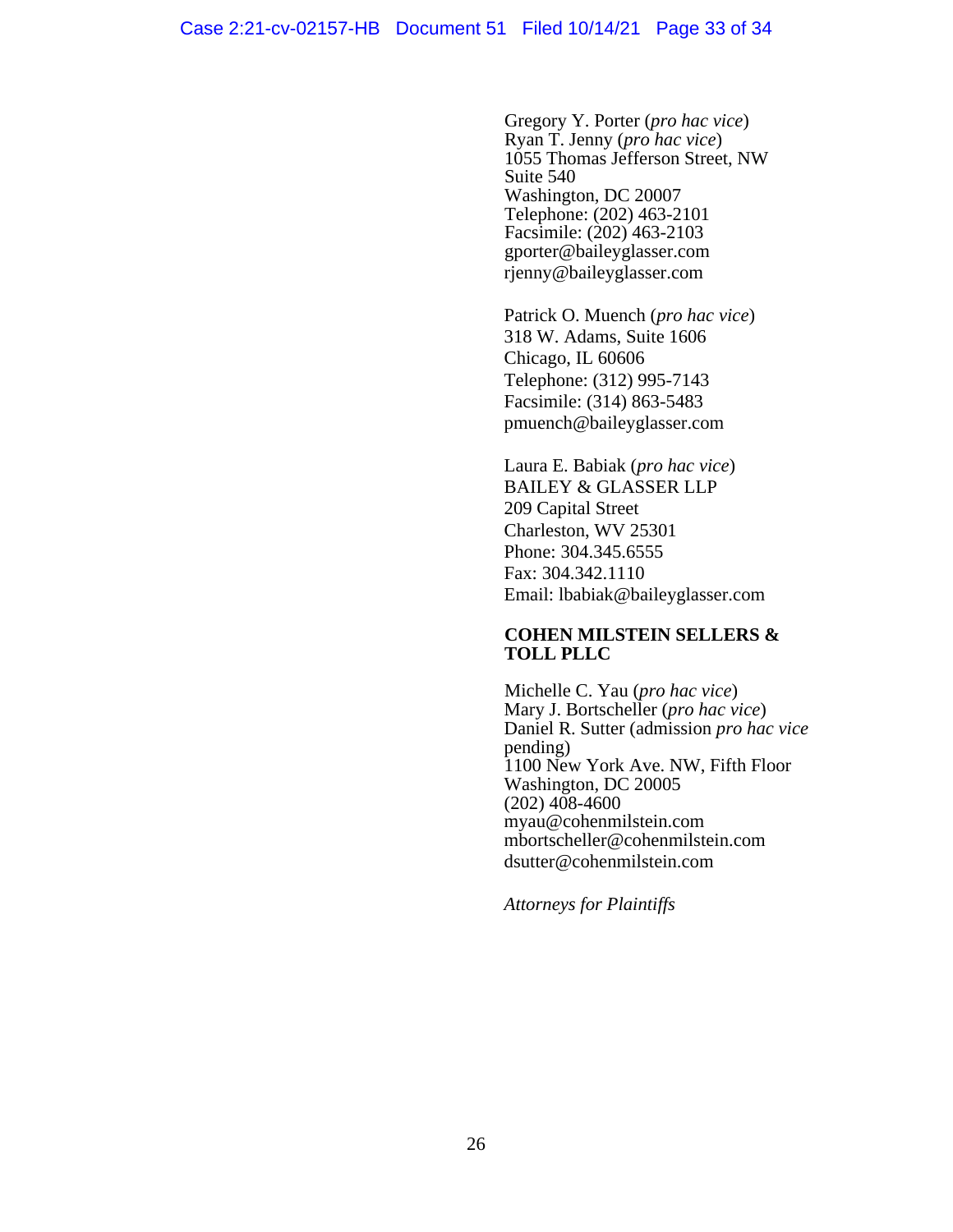Gregory Y. Porter (*pro hac vice*) Ryan T. Jenny (*pro hac vice*) 1055 Thomas Jefferson Street, NW Suite 540 Washington, DC 20007 Telephone: (202) 463-2101 Facsimile: (202) 463-2103 gporter@baileyglasser.com rjenny@baileyglasser.com

Patrick O. Muench (*pro hac vice*) 318 W. Adams, Suite 1606 Chicago, IL 60606 Telephone: (312) 995-7143 Facsimile: (314) 863-5483 pmuench@baileyglasser.com

Laura E. Babiak (*pro hac vice*) BAILEY & GLASSER LLP 209 Capital Street Charleston, WV 25301 Phone: 304.345.6555 Fax: 304.342.1110 Email: lbabiak@baileyglasser.com

# **COHEN MILSTEIN SELLERS & TOLL PLLC**

Michelle C. Yau (*pro hac vice*) Mary J. Bortscheller (*pro hac vice*) Daniel R. Sutter (admission *pro hac vice* pending) 1100 New York Ave. NW, Fifth Floor Washington, DC 20005 (202) 408-4600 myau@cohenmilstein.com mbortscheller@cohenmilstein.com dsutter@cohenmilstein.com

*Attorneys for Plaintiffs*